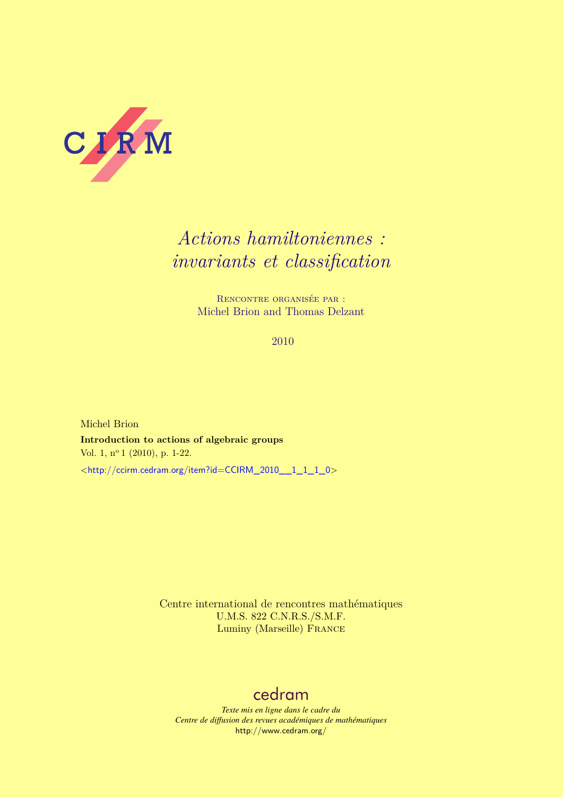

# *Actions hamiltoniennes : invariants et classification*

Rencontre organisée par : Michel Brion and Thomas Delzant

2010

Michel Brion **Introduction to actions of algebraic groups** Vol. 1, nº 1 (2010), p. 1-22. <[http://ccirm.cedram.org/item?id=CCIRM\\_2010\\_\\_1\\_1\\_1\\_0](http://ccirm.cedram.org/item?id=CCIRM_2010__1_1_1_0)>

> Centre international de rencontres mathématiques U.M.S. 822 C.N.R.S./S.M.F. Luminy (Marseille) France

# [cedram](http://www.cedram.org/)

*Texte mis en ligne dans le cadre du Centre de diffusion des revues académiques de mathématiques* <http://www.cedram.org/>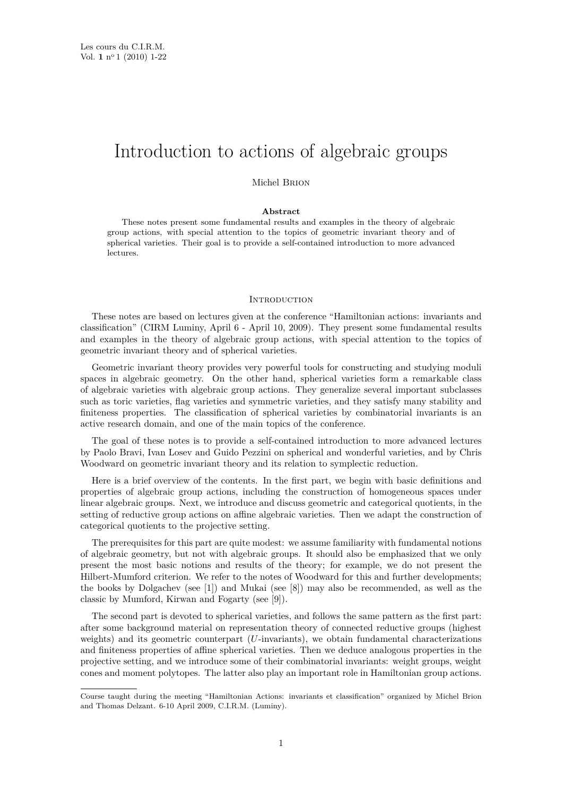# Introduction to actions of algebraic groups

Michel Brion

#### **Abstract**

These notes present some fundamental results and examples in the theory of algebraic group actions, with special attention to the topics of geometric invariant theory and of spherical varieties. Their goal is to provide a self-contained introduction to more advanced lectures.

#### **INTRODUCTION**

These notes are based on lectures given at the conference "Hamiltonian actions: invariants and classification" (CIRM Luminy, April 6 - April 10, 2009). They present some fundamental results and examples in the theory of algebraic group actions, with special attention to the topics of geometric invariant theory and of spherical varieties.

Geometric invariant theory provides very powerful tools for constructing and studying moduli spaces in algebraic geometry. On the other hand, spherical varieties form a remarkable class of algebraic varieties with algebraic group actions. They generalize several important subclasses such as toric varieties, flag varieties and symmetric varieties, and they satisfy many stability and finiteness properties. The classification of spherical varieties by combinatorial invariants is an active research domain, and one of the main topics of the conference.

The goal of these notes is to provide a self-contained introduction to more advanced lectures by Paolo Bravi, Ivan Losev and Guido Pezzini on spherical and wonderful varieties, and by Chris Woodward on geometric invariant theory and its relation to symplectic reduction.

Here is a brief overview of the contents. In the first part, we begin with basic definitions and properties of algebraic group actions, including the construction of homogeneous spaces under linear algebraic groups. Next, we introduce and discuss geometric and categorical quotients, in the setting of reductive group actions on affine algebraic varieties. Then we adapt the construction of categorical quotients to the projective setting.

The prerequisites for this part are quite modest: we assume familiarity with fundamental notions of algebraic geometry, but not with algebraic groups. It should also be emphasized that we only present the most basic notions and results of the theory; for example, we do not present the Hilbert-Mumford criterion. We refer to the notes of Woodward for this and further developments; the books by Dolgachev (see [\[1\]](#page-22-0)) and Mukai (see [\[8\]](#page-22-0)) may also be recommended, as well as the classic by Mumford, Kirwan and Fogarty (see [\[9\]](#page-22-0)).

The second part is devoted to spherical varieties, and follows the same pattern as the first part: after some background material on representation theory of connected reductive groups (highest weights) and its geometric counterpart (*U*-invariants), we obtain fundamental characterizations and finiteness properties of affine spherical varieties. Then we deduce analogous properties in the projective setting, and we introduce some of their combinatorial invariants: weight groups, weight cones and moment polytopes. The latter also play an important role in Hamiltonian group actions.

Course taught during the meeting "Hamiltonian Actions: invariants et classification" organized by Michel Brion and Thomas Delzant. 6-10 April 2009, C.I.R.M. (Luminy).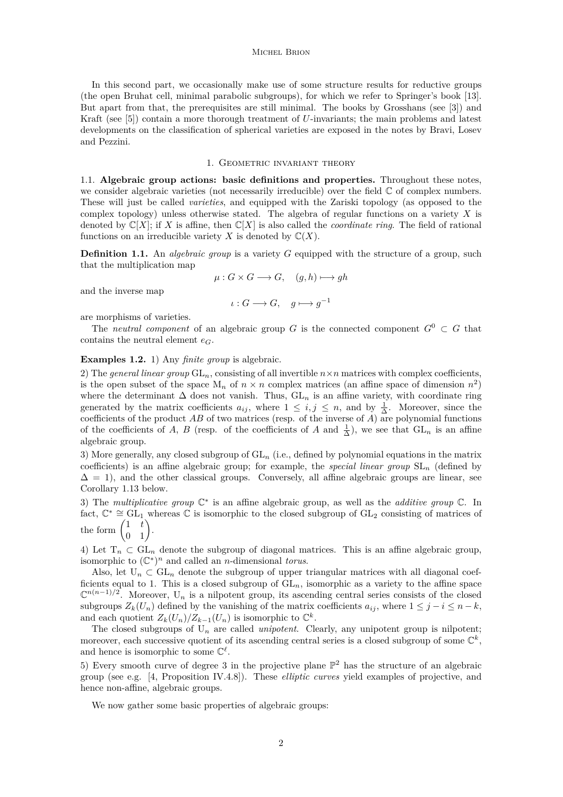In this second part, we occasionally make use of some structure results for reductive groups (the open Bruhat cell, minimal parabolic subgroups), for which we refer to Springer's book [\[13\]](#page-22-0). But apart from that, the prerequisites are still minimal. The books by Grosshans (see [\[3\]](#page-22-0)) and Kraft (see [\[5\]](#page-22-0)) contain a more thorough treatment of *U*-invariants; the main problems and latest developments on the classification of spherical varieties are exposed in the notes by Bravi, Losev and Pezzini.

# 1. GEOMETRIC INVARIANT THEORY

1.1. **Algebraic group actions: basic definitions and properties.** Throughout these notes, we consider algebraic varieties (not necessarily irreducible) over the field  $\mathbb C$  of complex numbers. These will just be called *varieties*, and equipped with the Zariski topology (as opposed to the complex topology) unless otherwise stated. The algebra of regular functions on a variety *X* is denoted by  $\mathbb{C}[X]$ ; if X is affine, then  $\mathbb{C}[X]$  is also called the *coordinate ring*. The field of rational functions on an irreducible variety *X* is denoted by  $\mathbb{C}(X)$ .

**Definition 1.1.** An *algebraic group* is a variety *G* equipped with the structure of a group, such that the multiplication map

$$
\mu: G \times G \longrightarrow G, \quad (g, h) \longmapsto gh
$$

and the inverse map

 $\iota: G \longrightarrow G, \quad g \longmapsto g^{-1}$ 

are morphisms of varieties.

The *neutral component* of an algebraic group *G* is the connected component  $G^0 \subset G$  that contains the neutral element  $e_C$ .

# **Examples 1.2.** 1) Any *finite group* is algebraic.

2) The *general linear group*  $GL_n$ , consisting of all invertible  $n \times n$  matrices with complex coefficients, is the open subset of the space  $M_n$  of  $n \times n$  complex matrices (an affine space of dimension  $n^2$ ) where the determinant  $\Delta$  does not vanish. Thus,  $GL_n$  is an affine variety, with coordinate ring generated by the matrix coefficients  $a_{ij}$ , where  $1 \leq i, j \leq n$ , and by  $\frac{1}{\Delta}$ . Moreover, since the coefficients of the product  $AB$  of two matrices (resp. of the inverse of  $A$ ) are polynomial functions of the coefficients of *A*, *B* (resp. of the coefficients of *A* and  $\frac{1}{\Delta}$ ), we see that  $GL_n$  is an affine algebraic group.

3) More generally, any closed subgroup of GL*<sup>n</sup>* (i.e., defined by polynomial equations in the matrix coefficients) is an affine algebraic group; for example, the *special linear group* SL*<sup>n</sup>* (defined by  $\Delta = 1$ ), and the other classical groups. Conversely, all affine algebraic groups are linear, see Corollary [1.13](#page-5-0) below.

3) The *multiplicative group* C ∗ is an affine algebraic group, as well as the *additive group* C. In fact,  $\mathbb{C}^* \cong GL_1$  whereas  $\mathbb C$  is isomorphic to the closed subgroup of  $GL_2$  consisting of matrices of the form  $\begin{pmatrix} 1 & t \\ 0 & 1 \end{pmatrix}$ .

4) Let  $T_n \subset GL_n$  denote the subgroup of diagonal matrices. This is an affine algebraic group, isomorphic to  $(\mathbb{C}^*)^n$  and called an *n*-dimensional *torus*.

Also, let  $U_n \subset GL_n$  denote the subgroup of upper triangular matrices with all diagonal coefficients equal to 1. This is a closed subgroup of  $GL_n$ , isomorphic as a variety to the affine space  $\mathbb{C}^{n(n-1)/2}$ . Moreover, U<sub>n</sub> is a nilpotent group, its ascending central series consists of the closed subgroups  $Z_k(U_n)$  defined by the vanishing of the matrix coefficients  $a_{ij}$ , where  $1 \leq j - i \leq n - k$ , and each quotient  $Z_k(U_n)/Z_{k-1}(U_n)$  is isomorphic to  $\mathbb{C}^k$ .

The closed subgroups of  $U_n$  are called *unipotent*. Clearly, any unipotent group is nilpotent; moreover, each successive quotient of its ascending central series is a closed subgroup of some  $\mathbb{C}^k$ , and hence is isomorphic to some  $\mathbb{C}^{\ell}$ .

5) Every smooth curve of degree 3 in the projective plane  $\mathbb{P}^2$  has the structure of an algebraic group (see e.g. [\[4,](#page-22-0) Proposition IV.4.8]). These *elliptic curves* yield examples of projective, and hence non-affine, algebraic groups.

We now gather some basic properties of algebraic groups: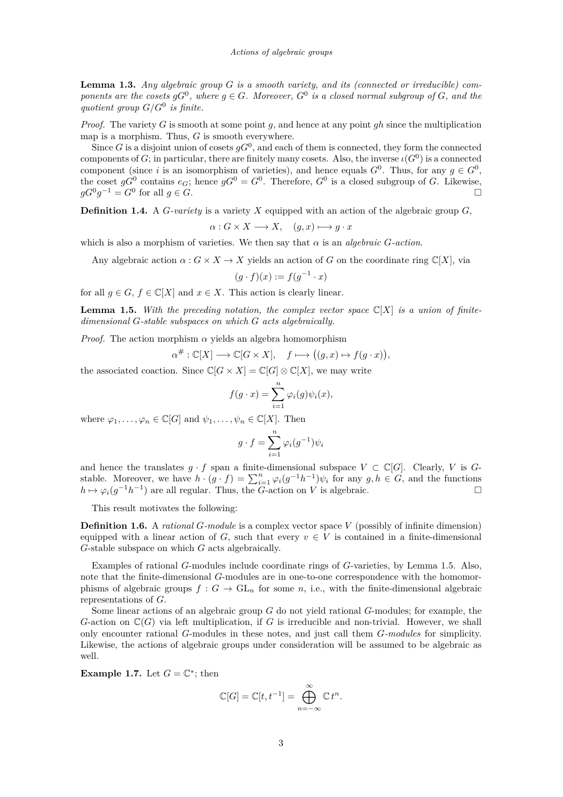<span id="page-3-0"></span>**Lemma 1.3.** *Any algebraic group G is a smooth variety, and its (connected or irreducible) components are the cosets*  $gG^0$ , where  $g \in G$ *. Moreover*,  $G^0$  *is a closed normal subgroup of*  $G$ *, and the quotient group G/G*<sup>0</sup> *is finite.*

*Proof.* The variety *G* is smooth at some point *g*, and hence at any point *gh* since the multiplication map is a morphism. Thus, *G* is smooth everywhere.

Since *G* is a disjoint union of cosets  $gG^0$ , and each of them is connected, they form the connected components of *G*; in particular, there are finitely many cosets. Also, the inverse  $\iota(G^0)$  is a connected component (since *i* is an isomorphism of varieties), and hence equals  $G^0$ . Thus, for any  $g \in G^0$ , the coset  $gG^0$  contains  $e_G$ ; hence  $gG^0 = G^0$ . Therefore,  $G^0$  is a closed subgroup of *G*. Likewise,  $gG^0g^{-1} = G^0$  for all  $g \in G$ .

**Definition 1.4.** A *G*-variety is a variety *X* equipped with an action of the algebraic group *G*,

$$
\alpha: G \times X \longrightarrow X, \quad (g, x) \longmapsto g \cdot x
$$

which is also a morphism of varieties. We then say that  $\alpha$  is an *algebraic G*-action.

Any algebraic action  $\alpha: G \times X \to X$  yields an action of *G* on the coordinate ring  $\mathbb{C}[X]$ , via

$$
(g \cdot f)(x) := f(g^{-1} \cdot x)
$$

for all  $q \in G$ ,  $f \in \mathbb{C}[X]$  and  $x \in X$ . This action is clearly linear.

**Lemma 1.5.** *With the preceding notation, the complex vector space* C[*X*] *is a union of finitedimensional G-stable subspaces on which G acts algebraically.*

*Proof.* The action morphism  $\alpha$  yields an algebra homomorphism

$$
\alpha^{\#}:\mathbb{C}[X]\longrightarrow \mathbb{C}[G\times X],\quad f\longmapsto \big((g,x)\mapsto f(g\cdot x)\big),
$$

the associated coaction. Since  $\mathbb{C}[G \times X] = \mathbb{C}[G] \otimes \mathbb{C}[X]$ , we may write

$$
f(g \cdot x) = \sum_{i=1}^{n} \varphi_i(g) \psi_i(x),
$$

where  $\varphi_1, \ldots, \varphi_n \in \mathbb{C}[G]$  and  $\psi_1, \ldots, \psi_n \in \mathbb{C}[X]$ . Then

$$
g \cdot f = \sum_{i=1}^{n} \varphi_i(g^{-1}) \psi_i
$$

and hence the translates  $g \cdot f$  span a finite-dimensional subspace  $V \subset \mathbb{C}[G]$ . Clearly, *V* is *G*stable. Moreover, we have  $h \cdot (g \cdot f) = \sum_{i=1}^{n} \varphi_i(g^{-1}h^{-1}) \psi_i$  for any  $g, h \in G$ , and the functions  $h \mapsto \varphi_i(g^{-1}h^{-1})$  are all regular. Thus, the *G*-action on *V* is algebraic.

This result motivates the following:

**Definition 1.6.** A *rational G-module* is a complex vector space *V* (possibly of infinite dimension) equipped with a linear action of *G*, such that every  $v \in V$  is contained in a finite-dimensional *G*-stable subspace on which *G* acts algebraically.

Examples of rational *G*-modules include coordinate rings of *G*-varieties, by Lemma 1.5. Also, note that the finite-dimensional *G*-modules are in one-to-one correspondence with the homomorphisms of algebraic groups  $f: G \to \text{GL}_n$  for some *n*, i.e., with the finite-dimensional algebraic representations of *G*.

Some linear actions of an algebraic group *G* do not yield rational *G*-modules; for example, the  $G$ -action on  $\mathbb{C}(G)$  via left multiplication, if  $G$  is irreducible and non-trivial. However, we shall only encounter rational *G*-modules in these notes, and just call them *G-modules* for simplicity. Likewise, the actions of algebraic groups under consideration will be assumed to be algebraic as well.

**Example 1.7.** Let  $G = \mathbb{C}^*$ ; then

$$
\mathbb{C}[G] = \mathbb{C}[t, t^{-1}] = \bigoplus_{n=-\infty}^{\infty} \mathbb{C} t^n.
$$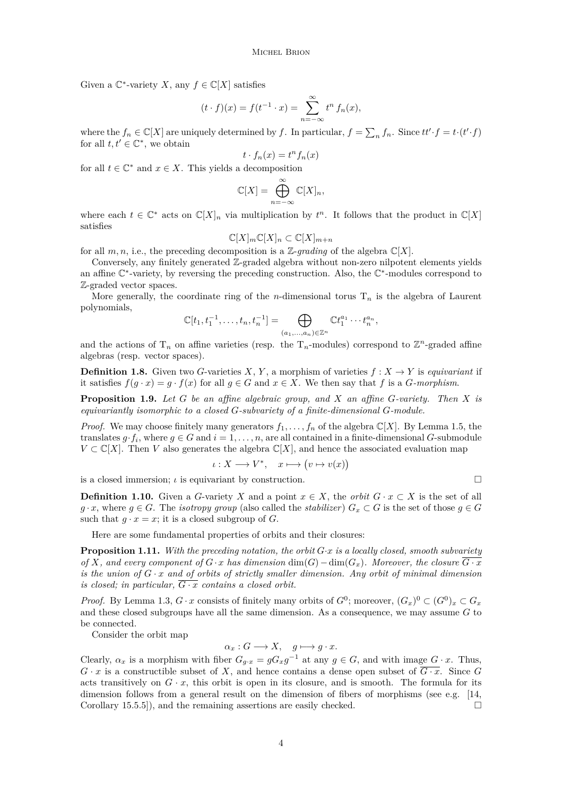<span id="page-4-0"></span>Given a  $\mathbb{C}^*$ -variety *X*, any  $f \in \mathbb{C}[X]$  satisfies

$$
(t \cdot f)(x) = f(t^{-1} \cdot x) = \sum_{n=-\infty}^{\infty} t^n f_n(x),
$$

where the  $f_n \in \mathbb{C}[X]$  are uniquely determined by *f*. In particular,  $f = \sum_n f_n$ . Since  $tt' \cdot f = t \cdot (t' \cdot f)$ for all  $t, t' \in \mathbb{C}^*$ , we obtain

$$
t \cdot f_n(x) = t^n f_n(x)
$$

for all  $t \in \mathbb{C}^*$  and  $x \in X$ . This yields a decomposition

$$
\mathbb{C}[X] = \bigoplus_{n=-\infty}^{\infty} \mathbb{C}[X]_n,
$$

where each  $t \in \mathbb{C}^*$  acts on  $\mathbb{C}[X]_n$  via multiplication by  $t^n$ . It follows that the product in  $\mathbb{C}[X]$ satisfies

$$
\mathbb{C}[X]_m \mathbb{C}[X]_n \subset \mathbb{C}[X]_{m+n}
$$

for all  $m, n$ , i.e., the preceding decomposition is a Z-*grading* of the algebra  $\mathbb{C}[X]$ .

Conversely, any finitely generated Z-graded algebra without non-zero nilpotent elements yields an affine  $\mathbb{C}^*$ -variety, by reversing the preceding construction. Also, the  $\mathbb{C}^*$ -modules correspond to Z-graded vector spaces.

More generally, the coordinate ring of the *n*-dimensional torus  $T_n$  is the algebra of Laurent polynomials,

$$
\mathbb{C}[t_1, t_1^{-1}, \dots, t_n, t_n^{-1}] = \bigoplus_{(a_1, \dots, a_n) \in \mathbb{Z}^n} \mathbb{C}t_1^{a_1} \cdots t_n^{a_n},
$$

and the actions of  $T_n$  on affine varieties (resp. the  $T_n$ -modules) correspond to  $\mathbb{Z}^n$ -graded affine algebras (resp. vector spaces).

**Definition 1.8.** Given two *G*-varieties *X*, *Y*, a morphism of varieties  $f: X \to Y$  is *equivariant* if it satisfies  $f(g \cdot x) = g \cdot f(x)$  for all  $g \in G$  and  $x \in X$ . We then say that  $f$  is a  $G$ *-morphism*.

**Proposition 1.9.** *Let G be an affine algebraic group, and X an affine G-variety. Then X is equivariantly isomorphic to a closed G-subvariety of a finite-dimensional G-module.*

*Proof.* We may choose finitely many generators  $f_1, \ldots, f_n$  of the algebra  $\mathbb{C}[X]$ . By Lemma [1.5,](#page-3-0) the translates  $g \cdot f_i$ , where  $g \in G$  and  $i = 1, \ldots, n$ , are all contained in a finite-dimensional *G*-submodule  $V \subset \mathbb{C}[X]$ . Then *V* also generates the algebra  $\mathbb{C}[X]$ , and hence the associated evaluation map

$$
\iota: X \longrightarrow V^*, \quad x \longmapsto (v \mapsto v(x))
$$

is a closed immersion; *ι* is equivariant by construction.

**Definition 1.10.** Given a *G*-variety *X* and a point  $x \in X$ , the *orbit*  $G \cdot x \subset X$  is the set of all *g* · *x*, where *g* ∈ *G*. The *isotropy group* (also called the *stabilizer*)  $G_x$  ⊂ *G* is the set of those  $g$  ∈ *G* such that  $g \cdot x = x$ ; it is a closed subgroup of *G*.

Here are some fundamental properties of orbits and their closures:

**Proposition 1.11.** *With the preceding notation, the orbit G*·*x is a locally closed, smooth subvariety of X, and every component of*  $G \cdot x$  *has dimension* dim( $G$ ) − dim( $G_x$ )*. Moreover, the closure*  $\overline{G \cdot x}$ *is the union of*  $G \cdot x$  *and of orbits of strictly smaller dimension. Any orbit of minimal dimension is closed; in particular,*  $\overline{G \cdot x}$  *contains a closed orbit.* 

*Proof.* By Lemma [1.3,](#page-3-0)  $G \cdot x$  consists of finitely many orbits of  $G^0$ ; moreover,  $(G_x)^0 \subset (G^0)_x \subset G_x$ and these closed subgroups have all the same dimension. As a consequence, we may assume *G* to be connected.

Consider the orbit map

 $\alpha_x : G \longrightarrow X$ ,  $g \longmapsto g \cdot x$ .

Clearly,  $\alpha_x$  is a morphism with fiber  $G_{g \cdot x} = g G_x g^{-1}$  at any  $g \in G$ , and with image  $G \cdot x$ . Thus,  $G \cdot x$  is a constructible subset of *X*, and hence contains a dense open subset of  $\overline{G \cdot x}$ . Since *G* acts transitively on  $G \cdot x$ , this orbit is open in its closure, and is smooth. The formula for its dimension follows from a general result on the dimension of fibers of morphisms (see e.g. [\[14,](#page-22-0) Corollary 15.5.5]), and the remaining assertions are easily checked.  $\Box$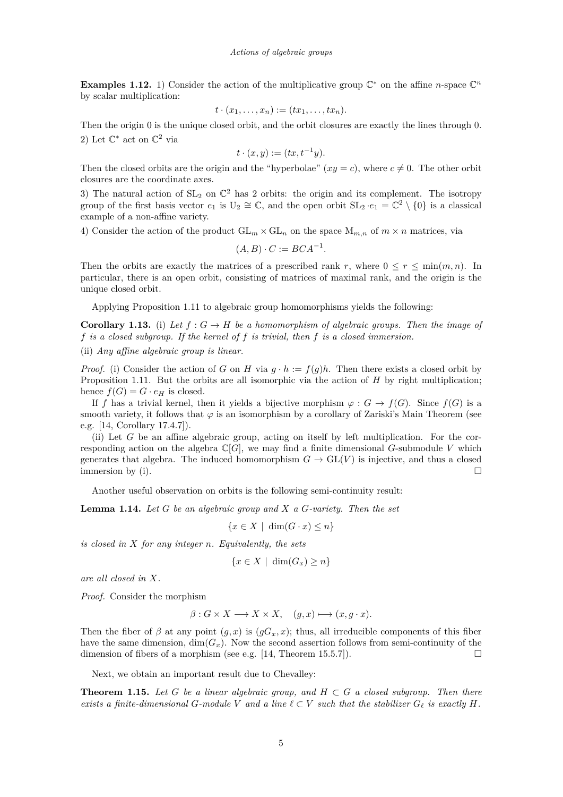<span id="page-5-0"></span>**Examples 1.12.** 1) Consider the action of the multiplicative group  $\mathbb{C}^*$  on the affine *n*-space  $\mathbb{C}^n$ by scalar multiplication:

$$
t\cdot(x_1,\ldots,x_n):=(tx_1,\ldots,tx_n).
$$

Then the origin 0 is the unique closed orbit, and the orbit closures are exactly the lines through 0. 2) Let  $\mathbb{C}^*$  act on  $\mathbb{C}^2$  via

$$
t \cdot (x, y) := (tx, t^{-1}y).
$$

Then the closed orbits are the origin and the "hyperbolae"  $(xy = c)$ , where  $c \neq 0$ . The other orbit closures are the coordinate axes.

3) The natural action of  $SL_2$  on  $\mathbb{C}^2$  has 2 orbits: the origin and its complement. The isotropy group of the first basis vector  $e_1$  is  $U_2 \cong \mathbb{C}$ , and the open orbit  $SL_2 \cdot e_1 = \mathbb{C}^2 \setminus \{0\}$  is a classical example of a non-affine variety.

4) Consider the action of the product  $GL_m \times GL_n$  on the space  $M_{m,n}$  of  $m \times n$  matrices, via

$$
(A, B) \cdot C := BCA^{-1}.
$$

Then the orbits are exactly the matrices of a prescribed rank *r*, where  $0 \le r \le \min(m, n)$ . In particular, there is an open orbit, consisting of matrices of maximal rank, and the origin is the unique closed orbit.

Applying Proposition [1.11](#page-4-0) to algebraic group homomorphisms yields the following:

**Corollary 1.13.** (i) Let  $f: G \to H$  be a homomorphism of algebraic groups. Then the image of *f is a closed subgroup. If the kernel of f is trivial, then f is a closed immersion.* (ii) *Any affine algebraic group is linear.*

*Proof.* (i) Consider the action of *G* on *H* via  $q \cdot h := f(q)h$ . Then there exists a closed orbit by Proposition [1.11.](#page-4-0) But the orbits are all isomorphic via the action of *H* by right multiplication; hence  $f(G) = G \cdot e_H$  is closed.

If *f* has a trivial kernel, then it yields a bijective morphism  $\varphi : G \to f(G)$ . Since  $f(G)$  is a smooth variety, it follows that  $\varphi$  is an isomorphism by a corollary of Zariski's Main Theorem (see e.g. [\[14,](#page-22-0) Corollary 17.4.7]).

(ii) Let *G* be an affine algebraic group, acting on itself by left multiplication. For the corresponding action on the algebra  $\mathbb{C}[G]$ , we may find a finite dimensional G-submodule V which generates that algebra. The induced homomorphism  $G \to GL(V)$  is injective, and thus a closed immersion by (i).  $\Box$ 

Another useful observation on orbits is the following semi-continuity result:

**Lemma 1.14.** *Let G be an algebraic group and X a G-variety. Then the set*

 ${x \in X \mid \dim(G \cdot x) \leq n}$ 

*is closed in X for any integer n. Equivalently, the sets*

$$
\{x \in X \mid \dim(G_x) \ge n\}
$$

*are all closed in X.*

*Proof.* Consider the morphism

$$
\beta: G \times X \longrightarrow X \times X, \quad (g, x) \longmapsto (x, g \cdot x).
$$

Then the fiber of  $\beta$  at any point  $(g, x)$  is  $(gG_x, x)$ ; thus, all irreducible components of this fiber have the same dimension,  $\dim(G_x)$ . Now the second assertion follows from semi-continuity of the dimension of fibers of a morphism (see e.g. [\[14,](#page-22-0) Theorem 15.5.7]).  $\Box$ 

Next, we obtain an important result due to Chevalley:

**Theorem 1.15.** Let  $G$  be a linear algebraic group, and  $H \subset G$  a closed subgroup. Then there *exists a finite-dimensional G-module V and a line*  $\ell \subset V$  *such that the stabilizer*  $G_{\ell}$  *is exactly H*.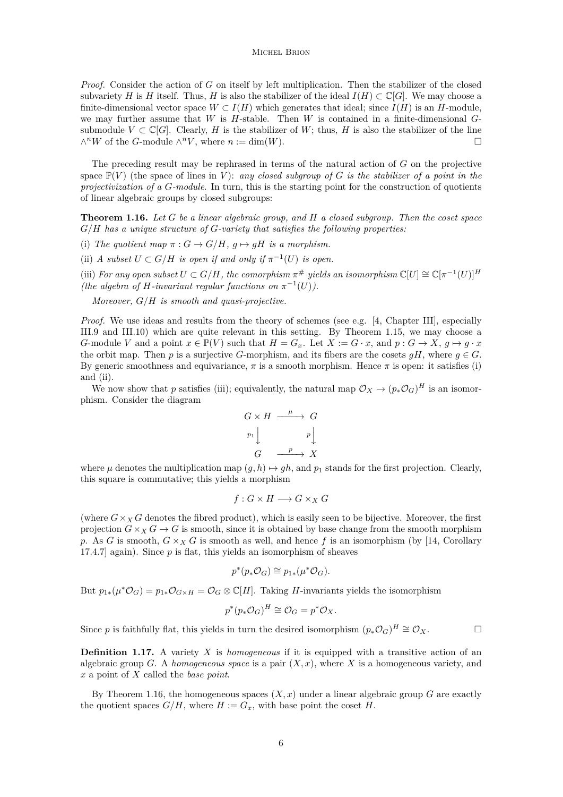<span id="page-6-0"></span>*Proof.* Consider the action of *G* on itself by left multiplication. Then the stabilizer of the closed subvariety *H* is *H* itself. Thus, *H* is also the stabilizer of the ideal  $I(H) \subset \mathbb{C}[G]$ . We may choose a finite-dimensional vector space  $W \subset I(H)$  which generates that ideal; since  $I(H)$  is an *H*-module, we may further assume that *W* is *H*-stable. Then *W* is contained in a finite-dimensional *G*submodule  $V \subset \mathbb{C}[G]$ . Clearly, *H* is the stabilizer of *W*; thus, *H* is also the stabilizer of the line  $\wedge^n W$  of the *G*-module  $\wedge^n V$ , where  $n := \dim(W)$ .

The preceding result may be rephrased in terms of the natural action of *G* on the projective space  $\mathbb{P}(V)$  (the space of lines in *V*): *any closed subgroup of G is the stabilizer of a point in the projectivization of a G-module*. In turn, this is the starting point for the construction of quotients of linear algebraic groups by closed subgroups:

**Theorem 1.16.** *Let G be a linear algebraic group, and H a closed subgroup. Then the coset space G/H has a unique structure of G-variety that satisfies the following properties:*

(i) The quotient map  $\pi: G \to G/H$ ,  $q \mapsto qH$  is a morphism.

(ii) *A* subset  $U \subset G/H$  is open if and only if  $\pi^{-1}(U)$  is open.

(iii) *For any open subset*  $U \subset G/H$ *, the comorphism*  $\pi^{\#}$  *yields an isomorphism*  $\mathbb{C}[U] \cong \mathbb{C}[\pi^{-1}(U)]^H$ *(the algebra of H-invariant regular functions on*  $\pi^{-1}(U)$ *).* 

*Moreover, G/H is smooth and quasi-projective.*

*Proof.* We use ideas and results from the theory of schemes (see e.g. [\[4,](#page-22-0) Chapter III], especially III.9 and III.10) which are quite relevant in this setting. By Theorem [1.15,](#page-5-0) we may choose a *G*-module *V* and a point  $x \in \mathbb{P}(V)$  such that  $H = G_x$ . Let  $X := G \cdot x$ , and  $p : G \to X$ ,  $q \mapsto q \cdot x$ the orbit map. Then *p* is a surjective *G*-morphism, and its fibers are the cosets  $gH$ , where  $g \in G$ . By generic smoothness and equivariance,  $\pi$  is a smooth morphism. Hence  $\pi$  is open: it satisfies (i) and (ii).

We now show that *p* satisfies (iii); equivalently, the natural map  $\mathcal{O}_X \to (p_* \mathcal{O}_G)^H$  is an isomorphism. Consider the diagram

$$
G \times H \xrightarrow{\mu} G
$$
  
\n
$$
p_1 \downarrow \qquad p \downarrow \qquad P \downarrow
$$
  
\n
$$
G \xrightarrow{\quad p \quad} X
$$

where  $\mu$  denotes the multiplication map  $(g, h) \mapsto gh$ , and  $p_1$  stands for the first projection. Clearly, this square is commutative; this yields a morphism

$$
f: G \times H \longrightarrow G \times_X G
$$

(where  $G \times_{X} G$  denotes the fibred product), which is easily seen to be bijective. Moreover, the first projection  $G \times_X G \to G$  is smooth, since it is obtained by base change from the smooth morphism *p*. As *G* is smooth,  $G \times_X G$  is smooth as well, and hence *f* is an isomorphism (by [\[14,](#page-22-0) Corollary 17.4.7] again). Since *p* is flat, this yields an isomorphism of sheaves

$$
p^*(p_*\mathcal{O}_G) \cong p_{1*}(\mu^*\mathcal{O}_G).
$$

But  $p_{1*}(\mu^*\mathcal{O}_G) = p_{1*}\mathcal{O}_{G\times H} = \mathcal{O}_G \otimes \mathbb{C}[H]$ . Taking *H*-invariants yields the isomorphism

$$
p^*(p_*\mathcal{O}_G)^H \cong \mathcal{O}_G = p^*\mathcal{O}_X.
$$

Since *p* is faithfully flat, this yields in turn the desired isomorphism  $(p_*\mathcal{O}_G)^H \cong \mathcal{O}_X$ .

**Definition 1.17.** A variety *X* is *homogeneous* if it is equipped with a transitive action of an algebraic group *G*. A *homogeneous space* is a pair  $(X, x)$ , where *X* is a homogeneous variety, and *x* a point of *X* called the *base point*.

By Theorem 1.16, the homogeneous spaces  $(X, x)$  under a linear algebraic group  $G$  are exactly the quotient spaces  $G/H$ , where  $H := G_x$ , with base point the coset *H*.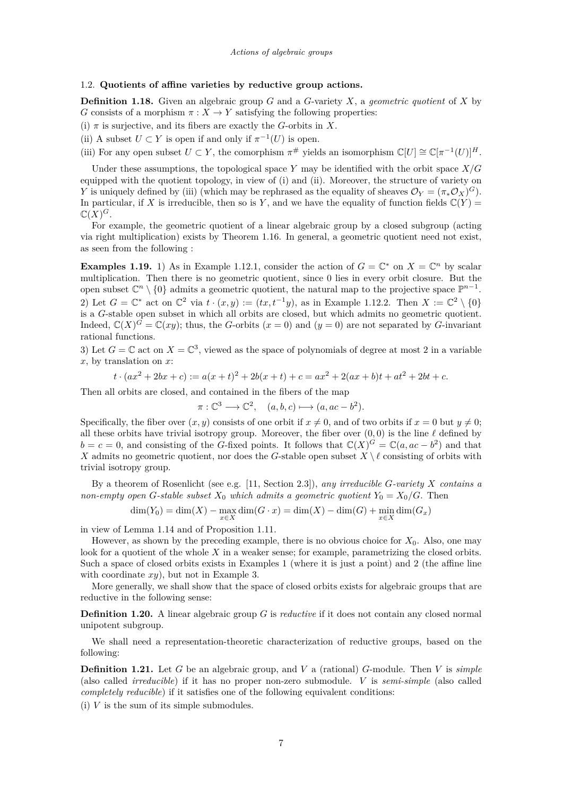# <span id="page-7-0"></span>1.2. **Quotients of affine varieties by reductive group actions.**

**Definition 1.18.** Given an algebraic group *G* and a *G*-variety *X*, a *geometric quotient* of *X* by *G* consists of a morphism  $\pi$  :  $X \to Y$  satisfying the following properties:

(i)  $\pi$  is surjective, and its fibers are exactly the *G*-orbits in *X*.

(ii) A subset  $U \subset Y$  is open if and only if  $\pi^{-1}(U)$  is open.

(iii) For any open subset  $U \subset Y$ , the comorphism  $\pi^{\#}$  yields an isomorphism  $\mathbb{C}[U] \cong \mathbb{C}[\pi^{-1}(U)]^H$ .

Under these assumptions, the topological space *Y* may be identified with the orbit space *X/G* equipped with the quotient topology, in view of (i) and (ii). Moreover, the structure of variety on *Y* is uniquely defined by (iii) (which may be rephrased as the equality of sheaves  $\mathcal{O}_Y = (\pi_* \mathcal{O}_X)^G$ ). In particular, if *X* is irreducible, then so is *Y*, and we have the equality of function fields  $\mathbb{C}(Y)$  =  $\mathbb{C}(X)^G$ .

For example, the geometric quotient of a linear algebraic group by a closed subgroup (acting via right multiplication) exists by Theorem [1.16.](#page-6-0) In general, a geometric quotient need not exist, as seen from the following :

**Examples 1.19.** 1) As in Example [1.12.](#page-5-0)1, consider the action of  $G = \mathbb{C}^*$  on  $X = \mathbb{C}^n$  by scalar multiplication. Then there is no geometric quotient, since 0 lies in every orbit closure. But the open subset  $\mathbb{C}^n \setminus \{0\}$  admits a geometric quotient, the natural map to the projective space  $\mathbb{P}^{n-1}$ . 2) Let  $G = \mathbb{C}^*$  act on  $\mathbb{C}^2$  via  $t \cdot (x, y) := (tx, t^{-1}y)$ , as in Example [1.12.](#page-5-0)2. Then  $X := \mathbb{C}^2 \setminus \{0\}$ is a *G*-stable open subset in which all orbits are closed, but which admits no geometric quotient.

Indeed,  $\mathbb{C}(X)^G = \mathbb{C}(xy)$ ; thus, the *G*-orbits  $(x = 0)$  and  $(y = 0)$  are not separated by *G*-invariant rational functions. 3) Let  $G = \mathbb{C}$  act on  $X = \mathbb{C}^3$ , viewed as the space of polynomials of degree at most 2 in a variable

*x*, by translation on *x*:

$$
t \cdot (ax^2 + 2bx + c) := a(x+t)^2 + 2b(x+t) + c = ax^2 + 2(ax+b)t + at^2 + 2bt + c.
$$

Then all orbits are closed, and contained in the fibers of the map

$$
\pi: \mathbb{C}^3 \longrightarrow \mathbb{C}^2, \quad (a, b, c) \longmapsto (a, ac - b^2).
$$

Specifically, the fiber over  $(x, y)$  consists of one orbit if  $x \neq 0$ , and of two orbits if  $x = 0$  but  $y \neq 0$ ; all these orbits have trivial isotropy group. Moreover, the fiber over  $(0,0)$  is the line  $\ell$  defined by  $b = c = 0$ , and consisting of the *G*-fixed points. It follows that  $\mathbb{C}(X)^G = \mathbb{C}(a, ac - b^2)$  and that *X* admits no geometric quotient, nor does the *G*-stable open subset  $X \setminus \ell$  consisting of orbits with trivial isotropy group.

By a theorem of Rosenlicht (see e.g. [\[11,](#page-22-0) Section 2.3]), *any irreducible G-variety X contains a non-empty open G*-stable subset  $X_0$  *which admits a geometric quotient*  $Y_0 = X_0/G$ . Then

 $dim(Y_0) = dim(X) - max_{x \in X} dim(G \cdot x) = dim(X) - dim(G) + min_{x \in X} dim(G_x)$ 

in view of Lemma [1.14](#page-5-0) and of Proposition [1.11.](#page-4-0)

However, as shown by the preceding example, there is no obvious choice for *X*0. Also, one may look for a quotient of the whole X in a weaker sense; for example, parametrizing the closed orbits. Such a space of closed orbits exists in Examples 1 (where it is just a point) and 2 (the affine line with coordinate *xy*), but not in Example 3.

More generally, we shall show that the space of closed orbits exists for algebraic groups that are reductive in the following sense:

**Definition 1.20.** A linear algebraic group *G* is *reductive* if it does not contain any closed normal unipotent subgroup.

We shall need a representation-theoretic characterization of reductive groups, based on the following:

**Definition 1.21.** Let *G* be an algebraic group, and *V* a (rational) *G*-module. Then *V* is *simple* (also called *irreducible*) if it has no proper non-zero submodule. *V* is *semi-simple* (also called *completely reducible*) if it satisfies one of the following equivalent conditions:

 $(i)$  *V* is the sum of its simple submodules.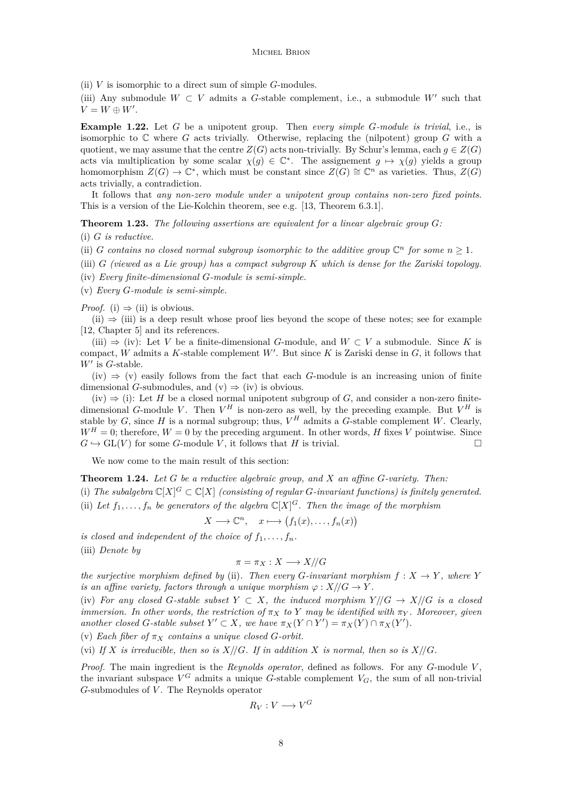<span id="page-8-0"></span>(ii) *V* is isomorphic to a direct sum of simple *G*-modules.

(iii) Any submodule  $W \subset V$  admits a *G*-stable complement, i.e., a submodule  $W'$  such that  $V = W \oplus W'.$ 

**Example 1.22.** Let *G* be a unipotent group. Then *every simple G-module is trivial*, i.e., is isomorphic to C where *G* acts trivially. Otherwise, replacing the (nilpotent) group *G* with a quotient, we may assume that the centre  $Z(G)$  acts non-trivially. By Schur's lemma, each  $g \in Z(G)$ acts via multiplication by some scalar  $\chi(g) \in \mathbb{C}^*$ . The assignement  $g \mapsto \chi(g)$  yields a group homomorphism  $Z(G) \to \mathbb{C}^*$ , which must be constant since  $Z(G) \cong \mathbb{C}^n$  as varieties. Thus,  $Z(G)$ acts trivially, a contradiction.

It follows that *any non-zero module under a unipotent group contains non-zero fixed points*. This is a version of the Lie-Kolchin theorem, see e.g. [\[13,](#page-22-0) Theorem 6.3.1].

**Theorem 1.23.** *The following assertions are equivalent for a linear algebraic group G:*

(i) *G is reductive.*

- (ii) *G* contains no closed normal subgroup isomorphic to the additive group  $\mathbb{C}^n$  for some  $n \geq 1$ .
- (iii) *G (viewed as a Lie group) has a compact subgroup K which is dense for the Zariski topology.*
- (iv) *Every finite-dimensional G-module is semi-simple.*
- (v) *Every G-module is semi-simple.*

*Proof.* (i)  $\Rightarrow$  (ii) is obvious.

 $(iii) \Rightarrow (iii)$  is a deep result whose proof lies beyond the scope of these notes; see for example [\[12,](#page-22-0) Chapter 5] and its references.

(iii) ⇒ (iv): Let *V* be a finite-dimensional *G*-module, and *W* ⊂ *V* a submodule. Since *K* is compact, *W* admits a *K*-stable complement  $W'$ . But since *K* is Zariski dense in  $G$ , it follows that  $W'$  is  $G$ -stable.

 $(iv) \Rightarrow (v)$  easily follows from the fact that each *G*-module is an increasing union of finite dimensional *G*-submodules, and  $(v) \Rightarrow (iv)$  is obvious.

(iv)  $\Rightarrow$  (i): Let *H* be a closed normal unipotent subgroup of *G*, and consider a non-zero finitedimensional *G*-module *V*. Then  $V^H$  is non-zero as well, by the preceding example. But  $V^H$  is stable by *G*, since *H* is a normal subgroup; thus,  $V^H$  admits a *G*-stable complement *W*. Clearly,  $W^H = 0$ ; therefore,  $W = 0$  by the preceding argument. In other words, *H* fixes *V* pointwise. Since  $G \hookrightarrow GL(V)$  for some *G*-module *V*, it follows that *H* is trivial.

We now come to the main result of this section:

**Theorem 1.24.** *Let G be a reductive algebraic group, and X an affine G-variety. Then:*

(i) The subalgebra  $\mathbb{C}[X]^G \subset \mathbb{C}[X]$  (consisting of regular *G*-invariant functions) is finitely generated. (ii) Let  $f_1, \ldots, f_n$  be generators of the algebra  $\mathbb{C}[X]^G$ . Then the image of the morphism

$$
X \longrightarrow \mathbb{C}^n, \quad x \longmapsto (f_1(x), \dots, f_n(x))
$$

*is closed and independent of the choice of*  $f_1, \ldots, f_n$ . (iii) *Denote by*

$$
\pi = \pi_X : X \longrightarrow X/\!/G
$$

*the surjective morphism defined by* (ii). Then every *G*-invariant morphism  $f: X \to Y$ , where *Y is an affine variety, factors through a unique morphism*  $\varphi$  :  $X/(G \rightarrow Y)$ .

(iv) For any closed G-stable subset  $Y \subset X$ , the induced morphism  $Y/(G \to X)/G$  is a closed *immersion. In other words, the restriction of*  $\pi_X$  *to Y may be identified with*  $\pi_Y$ *. Moreover, given another closed G*-stable subset  $Y' \subset X$ *, we have*  $\pi_X(Y \cap Y') = \pi_X(Y) \cap \pi_X(Y')$ *.* 

(v) *Each fiber of*  $\pi_X$  *contains a unique closed G-orbit.* 

(vi) If  $X$  *is irreducible, then so is*  $X/\mathcal{G}$ *. If in addition*  $X$  *is normal, then so is*  $X/\mathcal{G}$ *.* 

*Proof.* The main ingredient is the *Reynolds operator*, defined as follows. For any *G*-module *V* , the invariant subspace  $V^G$  admits a unique *G*-stable complement  $V_G$ , the sum of all non-trivial *G*-submodules of *V* . The Reynolds operator

$$
R_V: V \longrightarrow V^G
$$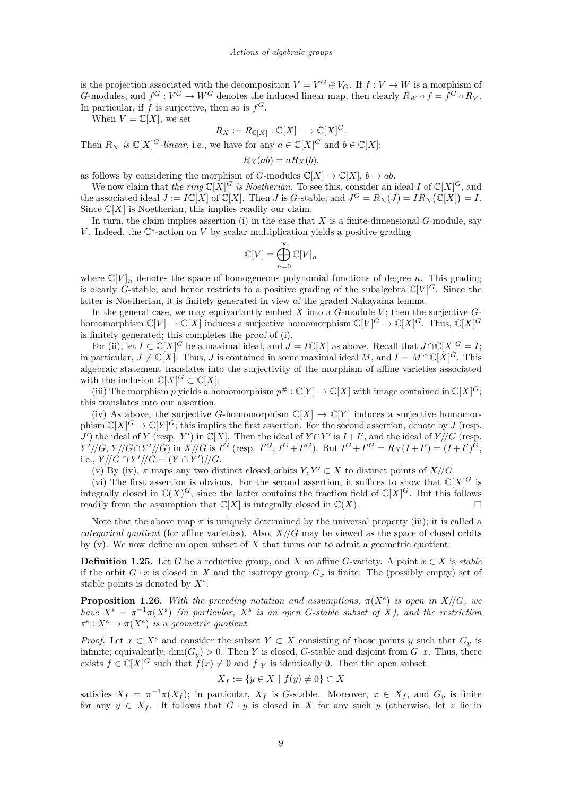<span id="page-9-0"></span>is the projection associated with the decomposition  $V = V^G \oplus V_G$ . If  $f: V \to W$  is a morphism of *G*-modules, and  $f^G: V^G \to W^G$  denotes the induced linear map, then clearly  $R_W \circ f = f^G \circ R_V$ . In particular, if  $f$  is surjective, then so is  $f^G$ .

When  $V = \mathbb{C}[X]$ , we set

$$
R_X := R_{\mathbb{C}[X]} : \mathbb{C}[X] \longrightarrow \mathbb{C}[X]^G.
$$

Then  $R_X$  *is*  $\mathbb{C}[X]^G$ *-linear*, i.e., we have for any  $a \in \mathbb{C}[X]^G$  and  $b \in \mathbb{C}[X]$ :

$$
R_X(ab) = aR_X(b),
$$

as follows by considering the morphism of *G*-modules  $\mathbb{C}[X] \to \mathbb{C}[X]$ ,  $b \mapsto ab$ .

We now claim that *the ring*  $\mathbb{C}[X]^G$  *is Noetherian*. To see this, consider an ideal *I* of  $\mathbb{C}[X]^G$ , and the associated ideal  $J := I\mathbb{C}[X]$  of  $\mathbb{C}[X]$ . Then *J* is *G*-stable, and  $J^G = R_X(J) = IR_X(\mathbb{C}[X]) = I$ . Since  $\mathbb{C}[X]$  is Noetherian, this implies readily our claim.

In turn, the claim implies assertion (i) in the case that *X* is a finite-dimensional *G*-module, say *V*. Indeed, the  $\mathbb{C}^*$ -action on *V* by scalar multiplication yields a positive grading

$$
\mathbb{C}[V] = \bigoplus_{n=0}^{\infty} \mathbb{C}[V]_n
$$

where  $\mathbb{C}[V]_n$  denotes the space of homogeneous polynomial functions of degree *n*. This grading is clearly *G*-stable, and hence restricts to a positive grading of the subalgebra  $\mathbb{C}[V]^G$ . Since the latter is Noetherian, it is finitely generated in view of the graded Nakayama lemma.

In the general case, we may equivariantly embed *X* into a *G*-module *V* ; then the surjective *G*homomorphism  $\mathbb{C}[V] \to \mathbb{C}[X]$  induces a surjective homomorphism  $\mathbb{C}[V]^G \to \mathbb{C}[X]^G$ . Thus,  $\mathbb{C}[X]^G$ is finitely generated; this completes the proof of (i).

For (ii), let  $I \subset \mathbb{C}[X]^G$  be a maximal ideal, and  $J = I\mathbb{C}[X]$  as above. Recall that  $J \cap \mathbb{C}[X]^G = I$ ; in particular,  $J \neq \mathbb{C}[X]$ . Thus, *J* is contained in some maximal ideal *M*, and  $I = M \cap \mathbb{C}[X]^{\tilde{G}}$ . This algebraic statement translates into the surjectivity of the morphism of affine varieties associated with the inclusion  $\mathbb{C}[X]^G \subset \mathbb{C}[X]$ .

(iii) The morphism *p* yields a homomorphism  $p^{\#}: \mathbb{C}[Y] \to \mathbb{C}[X]$  with image contained in  $\mathbb{C}[X]$ <sup>*G*</sup>; this translates into our assertion.

(iv) As above, the surjective *G*-homomorphism  $\mathbb{C}[X] \to \mathbb{C}[Y]$  induces a surjective homomorphism  $\mathbb{C}[X]^G \to \mathbb{C}[Y]^G$ ; this implies the first assertion. For the second assertion, denote by *J* (resp. *J*<sup> $\prime$ </sup>) the ideal of *Y* (resp. *Y*<sup> $\prime$ </sup>) in  $\mathbb{C}[X]$ . Then the ideal of *Y* ∩*Y*<sup> $\prime$ </sup> is *I* + *I*<sup> $\prime$ </sup>, and the ideal of *Y* //*G* (resp.  $Y'/\!/\!\!/ G, Y/\!/\!/\!G \cap Y'/\!/\!G$  in  $X/\!/\!G$  is  $I^G$  (resp.  $I'^G, I^G + I'^G$ ). But  $I^G + I'^G = R_X(I + I') = (I + I')^G,$ *i.e.,*  $Y/\!\!/ G \cap Y'/\!\!/ G = (Y \cap Y')/\!\!/ G$ .

(v) By (iv),  $\pi$  maps any two distinct closed orbits  $Y, Y' \subset X$  to distinct points of  $X/\mathcal{G}$ .

(vi) The first assertion is obvious. For the second assertion, it suffices to show that  $\mathbb{C}[X]^G$  is integrally closed in  $\mathbb{C}(X)^G$ , since the latter contains the fraction field of  $\mathbb{C}[X]^G$ . But this follows readily from the assumption that  $\mathbb{C}[X]$  is integrally closed in  $\mathbb{C}(X)$ .

Note that the above map  $\pi$  is uniquely determined by the universal property (iii); it is called a *categorical quotient* (for affine varieties). Also,  $X/\sqrt{G}$  may be viewed as the space of closed orbits by  $(v)$ . We now define an open subset of  $X$  that turns out to admit a geometric quotient:

**Definition 1.25.** Let *G* be a reductive group, and *X* an affine *G*-variety. A point  $x \in X$  is *stable* if the orbit  $G \cdot x$  is closed in  $X$  and the isotropy group  $G_x$  is finite. The (possibly empty) set of stable points is denoted by *X*<sup>s</sup> .

**Proposition 1.26.** With the preceding notation and assumptions,  $\pi(X^s)$  is open in  $X/\mathbb{G}$ , we *have*  $X^s = \pi^{-1}\pi(X^s)$  *(in particular,*  $X^s$  *is an open G-stable subset of X), and the restriction*  $\pi^s: X^s \to \pi(X^s)$  *is a geometric quotient.* 

*Proof.* Let  $x \in X^s$  and consider the subset  $Y \subset X$  consisting of those points *y* such that  $G_y$  is infinite; equivalently,  $\dim(G_y) > 0$ . Then *Y* is closed, *G*-stable and disjoint from  $G \cdot x$ . Thus, there exists  $f \in \mathbb{C}[X]^G$  such that  $f(x) \neq 0$  and  $f|_Y$  is identically 0. Then the open subset

$$
X_f := \{ y \in X \mid f(y) \neq 0 \} \subset X
$$

satisfies  $X_f = \pi^{-1}\pi(X_f)$ ; in particular,  $X_f$  is *G*-stable. Moreover,  $x \in X_f$ , and  $G_y$  is finite for any  $y \in X_f$ . It follows that  $G \cdot y$  is closed in X for any such y (otherwise, let z lie in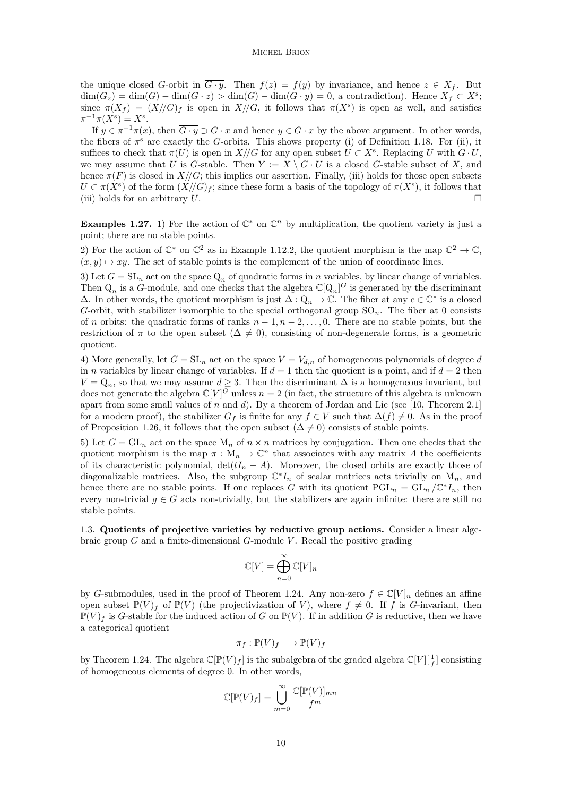<span id="page-10-0"></span>the unique closed *G*-orbit in  $\overline{G \cdot y}$ . Then  $f(z) = f(y)$  by invariance, and hence  $z \in X_f$ . But  $\dim(G_z) = \dim(G) - \dim(G \cdot z) > \dim(G) - \dim(G \cdot y) = 0$ , a contradiction). Hence  $X_f \subset X^s$ ; since  $\pi(X_f) = (X//G)_f$  is open in  $X//G$ , it follows that  $\pi(X^s)$  is open as well, and satisfies  $\pi^{-1}\pi(X^{s}) = X^{s}.$ 

If  $y \in \pi^{-1}\pi(x)$ , then  $\overline{G \cdot y} \supset G \cdot x$  and hence  $y \in G \cdot x$  by the above argument. In other words, the fibers of  $\pi$ <sup>s</sup> are exactly the *G*-orbits. This shows property (i) of Definition [1.18.](#page-7-0) For (ii), it suffices to check that  $\pi(U)$  is open in  $X/\!/G$  for any open subset  $U \subset X^s$ . Replacing *U* with  $G \cdot U$ , we may assume that *U* is *G*-stable. Then  $Y := X \setminus G \cdot U$  is a closed *G*-stable subset of X, and hence  $\pi(F)$  is closed in *X//G*; this implies our assertion. Finally, (iii) holds for those open subsets  $U \subset \pi(X^s)$  of the form  $(X/(G)_f)$ ; since these form a basis of the topology of  $\pi(X^s)$ , it follows that (iii) holds for an arbitrary *U*.

**Examples 1.27.** 1) For the action of  $\mathbb{C}^*$  on  $\mathbb{C}^n$  by multiplication, the quotient variety is just a point; there are no stable points.

2) For the action of  $\mathbb{C}^*$  on  $\mathbb{C}^2$  as in Example [1.12.](#page-5-0)2, the quotient morphism is the map  $\mathbb{C}^2 \to \mathbb{C}$ ,  $(x, y) \mapsto xy$ . The set of stable points is the complement of the union of coordinate lines.

3) Let  $G = SL_n$  act on the space  $Q_n$  of quadratic forms in *n* variables, by linear change of variables. Then  $Q_n$  is a *G*-module, and one checks that the algebra  $\mathbb{C}[Q_n]^G$  is generated by the discriminant  $\Delta$ . In other words, the quotient morphism is just  $\Delta$  : Q<sub>n</sub> → ℂ. The fiber at any  $c \in \mathbb{C}^*$  is a closed *G*-orbit, with stabilizer isomorphic to the special orthogonal group  $SO_n$ . The fiber at 0 consists of *n* orbits: the quadratic forms of ranks *n* − 1*, n* − 2*, . . . ,* 0. There are no stable points, but the restriction of  $\pi$  to the open subset ( $\Delta \neq 0$ ), consisting of non-degenerate forms, is a geometric quotient.

4) More generally, let  $G = SL_n$  act on the space  $V = V_{d,n}$  of homogeneous polynomials of degree *d* in *n* variables by linear change of variables. If  $d = 1$  then the quotient is a point, and if  $d = 2$  then  $V = Q_n$ , so that we may assume  $d \geq 3$ . Then the discriminant  $\Delta$  is a homogeneous invariant, but does not generate the algebra  $\mathbb{C}[V]^G$  unless  $n=2$  (in fact, the structure of this algebra is unknown apart from some small values of *n* and *d*). By a theorem of Jordan and Lie (see [\[10,](#page-22-0) Theorem 2.1] for a modern proof), the stabilizer  $G_f$  is finite for any  $f \in V$  such that  $\Delta(f) \neq 0$ . As in the proof of Proposition [1.26,](#page-9-0) it follows that the open subset  $(\Delta \neq 0)$  consists of stable points.

5) Let  $G = GL_n$  act on the space  $M_n$  of  $n \times n$  matrices by conjugation. Then one checks that the quotient morphism is the map  $\pi : M_n \to \mathbb{C}^n$  that associates with any matrix *A* the coefficients of its characteristic polynomial,  $det(tI_n - A)$ . Moreover, the closed orbits are exactly those of diagonalizable matrices. Also, the subgroup  $\mathbb{C}^*I_n$  of scalar matrices acts trivially on  $M_n$ , and hence there are no stable points. If one replaces *G* with its quotient  $PGL_n = GL_n / \mathbb{C}^* I_n$ , then every non-trivial  $g \in G$  acts non-trivially, but the stabilizers are again infinite: there are still no stable points.

1.3. **Quotients of projective varieties by reductive group actions.** Consider a linear algebraic group *G* and a finite-dimensional *G*-module *V* . Recall the positive grading

$$
\mathbb{C}[V] = \bigoplus_{n=0}^{\infty} \mathbb{C}[V]_n
$$

by *G*-submodules, used in the proof of Theorem [1.24.](#page-8-0) Any non-zero  $f \in \mathbb{C}[V]_n$  defines an affine open subset  $\mathbb{P}(V)_f$  of  $\mathbb{P}(V)$  (the projectivization of *V*), where  $f \neq 0$ . If *f* is *G*-invariant, then  $\mathbb{P}(V)_f$  is *G*-stable for the induced action of *G* on  $\mathbb{P}(V)$ . If in addition *G* is reductive, then we have a categorical quotient

$$
\pi_f: \mathbb{P}(V)_f \longrightarrow \mathbb{P}(V)_f
$$

by Theorem [1.24.](#page-8-0) The algebra  $\mathbb{C}[\mathbb{P}(V)_f]$  is the subalgebra of the graded algebra  $\mathbb{C}[V][\frac{1}{f}]$  consisting of homogeneous elements of degree 0. In other words,

$$
\mathbb{C}[\mathbb{P}(V)_f] = \bigcup_{m=0}^{\infty} \frac{\mathbb{C}[\mathbb{P}(V)]_{mn}}{f^m}
$$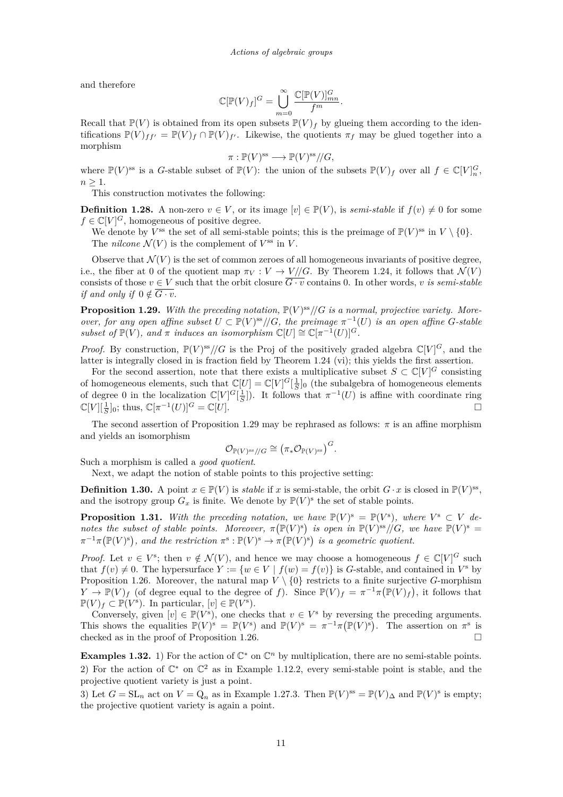and therefore

$$
\mathbb{C}[\mathbb{P}(V)_f]^G = \bigcup_{m=0}^{\infty} \frac{\mathbb{C}[\mathbb{P}(V)]_{mn}^G}{f^m}.
$$

Recall that  $\mathbb{P}(V)$  is obtained from its open subsets  $\mathbb{P}(V)_f$  by glueing them according to the identifications  $\mathbb{P}(V)_{ff'} = \mathbb{P}(V)_f \cap \mathbb{P}(V)_{f'}$ . Likewise, the quotients  $\pi_f$  may be glued together into a morphism

$$
\pi: \mathbb{P}(V)^{\text{ss}} \longrightarrow \mathbb{P}(V)^{\text{ss}}/\!/G,
$$

where  $\mathbb{P}(V)$ <sup>ss</sup> is a *G*-stable subset of  $\mathbb{P}(V)$ : the union of the subsets  $\mathbb{P}(V)_f$  over all  $f \in \mathbb{C}[V]_n^G$ ,  $n \geq 1$ .

This construction motivates the following:

**Definition 1.28.** A non-zero  $v \in V$ , or its image  $[v] \in \mathbb{P}(V)$ , is *semi-stable* if  $f(v) \neq 0$  for some  $f \in \mathbb{C}[V]^G$ , homogeneous of positive degree.

We denote by  $V^{\text{ss}}$  the set of all semi-stable points; this is the preimage of  $\mathbb{P}(V)^{\text{ss}}$  in  $V \setminus \{0\}.$ The *nilcone*  $\mathcal{N}(V)$  is the complement of  $V^{\text{ss}}$  in  $V$ .

Observe that  $\mathcal{N}(V)$  is the set of common zeroes of all homogeneous invariants of positive degree. i.e., the fiber at 0 of the quotient map  $\pi_V : V \to V/\!/ G$ . By Theorem [1.24,](#page-8-0) it follows that  $\mathcal{N}(V)$ consists of those  $v \in V$  such that the orbit closure  $\overline{G \cdot v}$  contains 0. In other words, *v is semi-stable if and only if*  $0 \notin \overline{G \cdot v}$ .

**Proposition 1.29.** With the preceding notation,  $\mathbb{P}(V)^{ss}/\mathbb{G}$  is a normal, projective variety. More*over, for any open affine subset*  $U \subset \mathbb{P}(V)^{ss}/\mathbb{G}$ *, the preimage*  $\pi^{-1}(U)$  *is an open affine G*-stable *subset of*  $\mathbb{P}(V)$ *, and*  $\pi$  *induces an isomorphism*  $\mathbb{C}[U] \cong \mathbb{C}[\pi^{-1}(U)]^G$ *.* 

*Proof.* By construction,  $\mathbb{P}(V)^{ss}/\mathbb{G}$  is the Proj of the positively graded algebra  $\mathbb{C}[V]^G$ , and the latter is integrally closed in is fraction field by Theorem [1.24](#page-8-0) (vi); this yields the first assertion.

For the second assertion, note that there exists a multiplicative subset  $S \subset \mathbb{C}[V]^G$  consisting of homogeneous elements, such that  $\mathbb{C}[U] = \mathbb{C}[V]^G[\frac{1}{S}]_0$  (the subalgebra of homogeneous elements of degree 0 in the localization  $\mathbb{C}[V]^G[\frac{1}{S}])$ . It follows that  $\pi^{-1}(U)$  is affine with coordinate ring  $\mathbb{C}[V][\frac{1}{S}]_0$ ; thus,  $\mathbb{C}[\pi^{-1}(U)]^G = \mathbb{C}[U].$ 

The second assertion of Proposition 1.29 may be rephrased as follows:  $\pi$  is an affine morphism and yields an isomorphism

$$
\mathcal{O}_{\mathbb{P}(V)^{\text{ss}}/\!/G} \cong (\pi_*\mathcal{O}_{\mathbb{P}(V)^{\text{ss}}})^G.
$$

Such a morphism is called a *good quotient*.

Next, we adapt the notion of stable points to this projective setting:

**Definition 1.30.** A point  $x \in \mathbb{P}(V)$  is *stable* if *x* is semi-stable, the orbit  $G \cdot x$  is closed in  $\mathbb{P}(V)$ <sup>ss</sup>, and the isotropy group  $G_x$  is finite. We denote by  $\mathbb{P}(V)^s$  the set of stable points.

**Proposition 1.31.** With the preceding notation, we have  $\mathbb{P}(V)^s = \mathbb{P}(V^s)$ , where  $V^s \subset V$  de*notes the subset of stable points. Moreover,*  $\pi(\mathbb{P}(V)^s)$  is open in  $\mathbb{P}(V)^{ss}/G$ *, we have*  $\mathbb{P}(V)^s$  =  $\pi^{-1}\pi(\mathbb{P}(V)^s)$ , and the restriction  $\pi^s : \mathbb{P}(V)^s \to \pi(\mathbb{P}(V)^s)$  is a geometric quotient.

*Proof.* Let  $v \in V^s$ ; then  $v \notin \mathcal{N}(V)$ , and hence we may choose a homogeneous  $f \in \mathbb{C}[V]^G$  such that  $f(v) \neq 0$ . The hypersurface  $Y := \{w \in V \mid f(w) = f(v)\}$  is *G*-stable, and contained in  $V^s$  by Proposition [1.26.](#page-9-0) Moreover, the natural map  $V \setminus \{0\}$  restricts to a finite surjective *G*-morphism *Y*  $\rightarrow \mathbb{P}(V)_f$  (of degree equal to the degree of *f*). Since  $\mathbb{P}(V)_f = \pi^{-1}\pi(\mathbb{P}(V)_f)$ , it follows that  $\mathbb{P}(V)_f \subset \mathbb{P}(V^s)$ . In particular,  $[v] \in \mathbb{P}(V^s)$ .

Conversely, given  $[v] \in \mathbb{P}(V^s)$ , one checks that  $v \in V^s$  by reversing the preceding arguments. This shows the equalities  $\mathbb{P}(V)^s = \mathbb{P}(V^s)$  and  $\mathbb{P}(V)^s = \pi^{-1}\pi(\mathbb{P}(V)^s)$ . The assertion on  $\pi^s$  is checked as in the proof of Proposition [1.26.](#page-9-0)

**Examples 1.32.** 1) For the action of  $\mathbb{C}^*$  on  $\mathbb{C}^n$  by multiplication, there are no semi-stable points. 2) For the action of  $\mathbb{C}^*$  on  $\mathbb{C}^2$  as in Example [1.12.](#page-5-0)2, every semi-stable point is stable, and the projective quotient variety is just a point.

3) Let  $G = SL_n$  act on  $V = Q_n$  as in Example [1.27.](#page-10-0)3. Then  $\mathbb{P}(V)^{ss} = \mathbb{P}(V)_{\Delta}$  and  $\mathbb{P}(V)^s$  is empty; the projective quotient variety is again a point.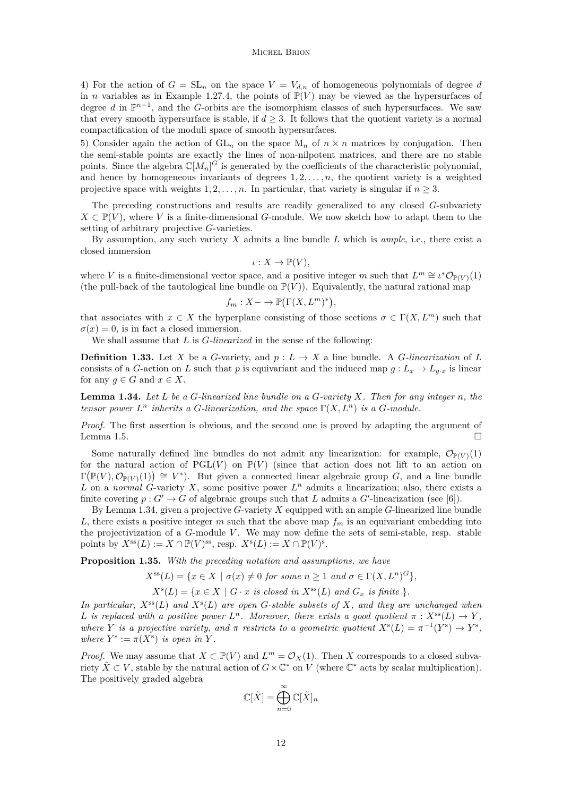4) For the action of  $G = SL_n$  on the space  $V = V_{d,n}$  of homogeneous polynomials of degree *d* in *n* variables as in Example [1.27.](#page-10-0)4, the points of  $\mathbb{P}(V)$  may be viewed as the hypersurfaces of degree *d* in  $\mathbb{P}^{n-1}$ , and the *G*-orbits are the isomorphism classes of such hypersurfaces. We saw that every smooth hypersurface is stable, if  $d \geq 3$ . It follows that the quotient variety is a normal compactification of the moduli space of smooth hypersurfaces.

5) Consider again the action of  $GL_n$  on the space  $M_n$  of  $n \times n$  matrices by conjugation. Then the semi-stable points are exactly the lines of non-nilpotent matrices, and there are no stable points. Since the algebra  $\mathbb{C}[M_n]^G$  is generated by the coefficients of the characteristic polynomial, and hence by homogeneous invariants of degrees  $1, 2, \ldots, n$ , the quotient variety is a weighted projective space with weights  $1, 2, \ldots, n$ . In particular, that variety is singular if  $n \geq 3$ .

The preceding constructions and results are readily generalized to any closed *G*-subvariety  $X \subset \mathbb{P}(V)$ , where *V* is a finite-dimensional *G*-module. We now sketch how to adapt them to the setting of arbitrary projective *G*-varieties.

By assumption, any such variety *X* admits a line bundle *L* which is *ample*, i.e., there exist a closed immersion

$$
\iota: X \to \mathbb{P}(V),
$$

where *V* is a finite-dimensional vector space, and a positive integer *m* such that  $L^m \cong \iota^* \mathcal{O}_{\mathbb{P}(V)}(1)$ (the pull-back of the tautological line bundle on  $\mathbb{P}(V)$ ). Equivalently, the natural rational map

$$
f_m: X \to \mathbb{P}(\Gamma(X, L^m)^*),
$$

that associates with  $x \in X$  the hyperplane consisting of those sections  $\sigma \in \Gamma(X, L^m)$  such that  $\sigma(x) = 0$ , is in fact a closed immersion.

We shall assume that *L* is *G-linearized* in the sense of the following:

**Definition 1.33.** Let *X* be a *G*-variety, and  $p: L \to X$  a line bundle. A *G*-linearization of *L* consists of a *G*-action on *L* such that *p* is equivariant and the induced map  $g: L_x \to L_{g,x}$  is linear for any  $g \in G$  and  $x \in X$ .

**Lemma 1.34.** *Let L be a G-linearized line bundle on a G-variety X. Then for any integer n, the tensor power*  $L^n$  *inherits a G*-linearization, and the space  $\Gamma(X, L^n)$  is a G-module.

*Proof.* The first assertion is obvious, and the second one is proved by adapting the argument of Lemma [1.5.](#page-3-0)

Some naturally defined line bundles do not admit any linearization: for example,  $\mathcal{O}_{\mathbb{P}(V)}(1)$ for the natural action of  $PGL(V)$  on  $\mathbb{P}(V)$  (since that action does not lift to an action on  $\Gamma(\mathbb{P}(V),\mathcal{O}_{\mathbb{P}(V)}(1)) \cong V^*$ ). But given a connected linear algebraic group *G*, and a line bundle L on a *normal* G-variety X, some positive power  $L^n$  admits a linearization; also, there exists a finite covering  $p: G' \to G$  of algebraic groups such that *L* admits a  $G'$ -linearization (see [\[6\]](#page-22-0)).

By Lemma 1.34, given a projective *G*-variety *X* equipped with an ample *G*-linearized line bundle *L*, there exists a positive integer *m* such that the above map  $f_m$  is an equivariant embedding into the projectivization of a *G*-module *V* . We may now define the sets of semi-stable, resp. stable points by  $X^{\text{ss}}(L) := X \cap \mathbb{P}(V)^{\text{ss}}$ , resp.  $X^{\text{s}}(L) := X \cap \mathbb{P}(V)^{\text{s}}$ .

**Proposition 1.35.** *With the preceding notation and assumptions, we have*

 $X^{\text{ss}}(L) = \{x \in X \mid \sigma(x) \neq 0 \text{ for some } n \geq 1 \text{ and } \sigma \in \Gamma(X, L^n)^G\},\$ 

 $X^{s}(L) = \{x \in X \mid G \cdot x \text{ is closed in } X^{\text{ss}}(L) \text{ and } G_x \text{ is finite } \}.$ 

*In particular, X*ss(*L*) *and X*<sup>s</sup> (*L*) *are open G-stable subsets of X, and they are unchanged when L* is replaced with a positive power  $L^n$ . Moreover, there exists a good quotient  $\pi$  :  $X^{ss}(L) \to Y$ , *where Y is a projective variety, and*  $\pi$  *restricts to a geometric quotient*  $X^{s}(L) = \pi^{-1}(Y^{s}) \rightarrow Y^{s}$ , *where*  $Y^s := \pi(X^s)$  *is open in*  $Y$ *.* 

*Proof.* We may assume that  $X \subset \mathbb{P}(V)$  and  $L^m = \mathcal{O}_X(1)$ . Then *X* corresponds to a closed subvariety  $\tilde{X} \subset V$ , stable by the natural action of  $G \times \mathbb{C}^*$  on  $\tilde{V}$  (where  $\mathbb{C}^*$  acts by scalar multiplication). The positively graded algebra

$$
\mathbb{C}[\tilde{X}] = \bigoplus_{n=0}^{\infty} \mathbb{C}[\tilde{X}]_n
$$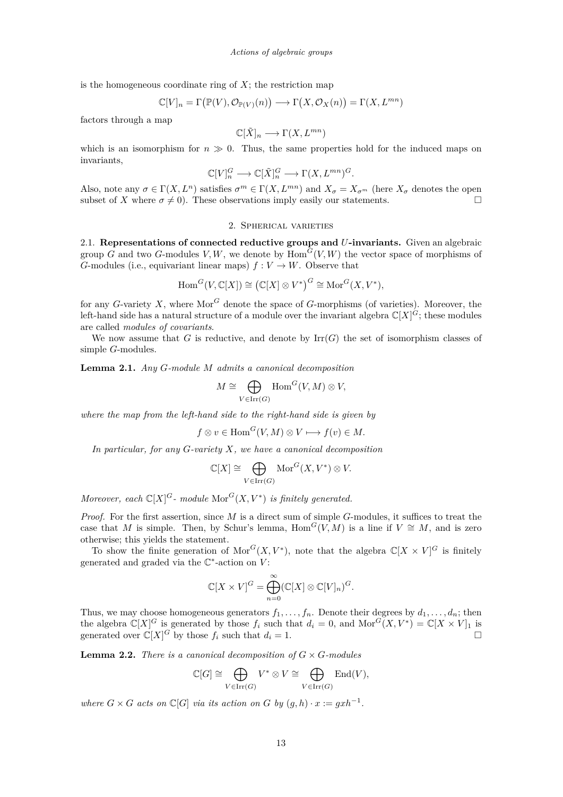<span id="page-13-0"></span>is the homogeneous coordinate ring of  $X$ ; the restriction map

$$
\mathbb{C}[V]_n = \Gamma(\mathbb{P}(V), \mathcal{O}_{\mathbb{P}(V)}(n)) \longrightarrow \Gamma(X, \mathcal{O}_X(n)) = \Gamma(X, L^{mn})
$$

factors through a map

$$
\mathbb{C}[\tilde{X}]_n \longrightarrow \Gamma(X, L^{mn})
$$

which is an isomorphism for  $n \gg 0$ . Thus, the same properties hold for the induced maps on invariants,

$$
\mathbb{C}[V]^G_n \longrightarrow \mathbb{C}[\tilde{X}]^G_n \longrightarrow \Gamma(X, L^{mn})^G.
$$

Also, note any  $\sigma \in \Gamma(X, L^n)$  satisfies  $\sigma^m \in \Gamma(X, L^{mn})$  and  $X_{\sigma} = X_{\sigma^m}$  (here  $X_{\sigma}$  denotes the open subset of *X* where  $\sigma \neq 0$ ). These observations imply easily our statements.

## 2. Spherical varieties

2.1. **Representations of connected reductive groups and** *U***-invariants.** Given an algebraic group *G* and two *G*-modules *V, W*, we denote by  $Hom<sup>G</sup>(V, W)$  the vector space of morphisms of *G*-modules (i.e., equivariant linear maps)  $f: V \to W$ . Observe that

$$
\operatorname{Hom}^G(V, \mathbb{C}[X]) \cong (\mathbb{C}[X] \otimes V^*)^G \cong \operatorname{Mor}^G(X, V^*),
$$

for any *G*-variety *X*, where  $Mor^G$  denote the space of *G*-morphisms (of varieties). Moreover, the left-hand side has a natural structure of a module over the invariant algebra  $\mathbb{C}[X]^G$ ; these modules are called *modules of covariants*.

We now assume that *G* is reductive, and denote by  $\text{Irr}(G)$  the set of isomorphism classes of simple *G*-modules.

**Lemma 2.1.** *Any G-module M admits a canonical decomposition*

$$
M \cong \bigoplus_{V \in \text{Irr}(G)} \text{Hom}^G(V, M) \otimes V,
$$

*where the map from the left-hand side to the right-hand side is given by*

$$
f \otimes v \in \text{Hom}^G(V, M) \otimes V \longmapsto f(v) \in M.
$$

*In particular, for any G-variety X, we have a canonical decomposition*

$$
\mathbb{C}[X] \cong \bigoplus_{V \in \text{Irr}(G)} \text{Mor}^G(X, V^*) \otimes V.
$$

*Moreover, each*  $\mathbb{C}[X]^G$ - module  $\text{Mor}^G(X, V^*)$  *is finitely generated.* 

*Proof.* For the first assertion, since *M* is a direct sum of simple *G*-modules, it suffices to treat the case that *M* is simple. Then, by Schur's lemma, Hom<sup>*G*</sup>(*V, M*) is a line if  $V \cong M$ , and is zero otherwise; this yields the statement.

To show the finite generation of  $Mor^G(X, V^*)$ , note that the algebra  $\mathbb{C}[X \times V]^G$  is finitely generated and graded via the  $\mathbb{C}^*$ -action on  $V$ :

$$
\mathbb{C}[X \times V]^G = \bigoplus_{n=0}^{\infty} (\mathbb{C}[X] \otimes \mathbb{C}[V]_n)^G.
$$

Thus, we may choose homogeneous generators  $f_1, \ldots, f_n$ . Denote their degrees by  $d_1, \ldots, d_n$ ; then the algebra  $\mathbb{C}[X]^G$  is generated by those  $f_i$  such that  $d_i = 0$ , and  $\text{Mor}^G(X, V^*) = \mathbb{C}[X \times V]_1$  is generated over  $\mathbb{C}[X]^G$  by those  $f_i$  such that  $d_i = 1$ .

**Lemma 2.2.** *There is a canonical decomposition of*  $G \times G$ *-modules* 

$$
\mathbb{C}[G] \cong \bigoplus_{V \in \operatorname{Irr}(G)} V^* \otimes V \cong \bigoplus_{V \in \operatorname{Irr}(G)} \operatorname{End}(V),
$$

*where*  $G \times G$  *acts on*  $\mathbb{C}[G]$  *via its action on*  $G$  *by*  $(g,h) \cdot x := gxh^{-1}$ .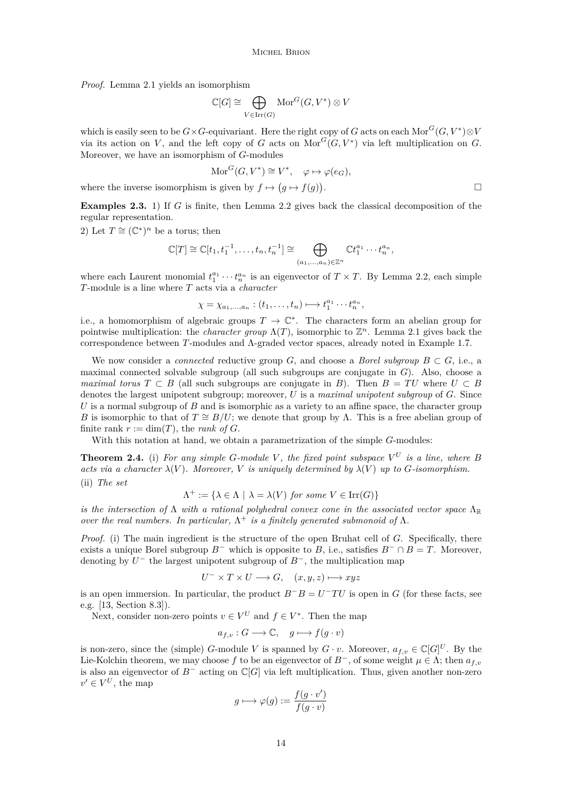<span id="page-14-0"></span>*Proof.* Lemma [2.1](#page-13-0) yields an isomorphism

$$
\mathbb{C}[G] \cong \bigoplus_{V \in \text{Irr}(G)} \text{Mor}^G(G, V^*) \otimes V
$$

which is easily seen to be  $G \times G$ -equivariant. Here the right copy of  $G$  acts on each  $\text{Mor}^G(G, V^*)\otimes V$ via its action on *V*, and the left copy of *G* acts on  $Mor^G(G, V^*)$  via left multiplication on *G*. Moreover, we have an isomorphism of *G*-modules

$$
\text{Mor}^G(G, V^*) \cong V^*, \quad \varphi \mapsto \varphi(e_G),
$$

where the inverse isomorphism is given by  $f \mapsto (g \mapsto f(g))$ .

**Examples 2.3.** 1) If *G* is finite, then Lemma [2.2](#page-13-0) gives back the classical decomposition of the regular representation.

2) Let  $T \cong (\mathbb{C}^*)^n$  be a torus; then

$$
\mathbb{C}[T] \cong \mathbb{C}[t_1, t_1^{-1}, \dots, t_n, t_n^{-1}] \cong \bigoplus_{(a_1, \dots, a_n) \in \mathbb{Z}^n} \mathbb{C}t_1^{a_1} \cdots t_n^{a_n},
$$

where each Laurent monomial  $t_1^{a_1} \cdots t_n^{a_n}$  is an eigenvector of  $T \times T$ . By Lemma [2.2,](#page-13-0) each simple *T*-module is a line where *T* acts via a *character*

$$
\chi=\chi_{a_1,\ldots,a_n}:(t_1,\ldots,t_n)\longmapsto t_1^{a_1}\cdots t_n^{a_n},
$$

i.e., a homomorphism of algebraic groups  $T \to \mathbb{C}^*$ . The characters form an abelian group for pointwise multiplication: the *character group*  $\Lambda(T)$ , isomorphic to  $\mathbb{Z}^n$ . Lemma [2.1](#page-13-0) gives back the correspondence between *T*-modules and Λ-graded vector spaces, already noted in Example [1.7.](#page-3-0)

We now consider a *connected* reductive group *G*, and choose a *Borel subgroup*  $B \subset G$ , i.e., a maximal connected solvable subgroup (all such subgroups are conjugate in *G*). Also, choose a *maximal torus*  $T \subset B$  (all such subgroups are conjugate in *B*). Then  $B = TU$  where  $U \subset B$ denotes the largest unipotent subgroup; moreover, *U* is a *maximal unipotent subgroup* of *G*. Since *U* is a normal subgroup of *B* and is isomorphic as a variety to an affine space, the character group *B* is isomorphic to that of  $T \cong B/U$ ; we denote that group by Λ. This is a free abelian group of finite rank  $r := \dim(T)$ , the *rank of*  $G$ .

With this notation at hand, we obtain a parametrization of the simple *G*-modules:

**Theorem 2.4.** (i) For any simple *G*-module V, the fixed point subspace  $V^U$  is a line, where *B acts via a character*  $\lambda(V)$ *. Moreover, V is uniquely determined by*  $\lambda(V)$  *up to G*-*isomorphism.* (ii) *The set*

$$
\Lambda^+ := \{ \lambda \in \Lambda \mid \lambda = \lambda(V) \text{ for some } V \in \text{Irr}(G) \}
$$

*is the intersection of*  $\Lambda$  *with a rational polyhedral convex cone in the associated vector space*  $\Lambda_{\mathbb{R}}$ *over the real numbers. In particular,*  $\Lambda^+$  *is a finitely generated submonoid of*  $\Lambda$ *.* 

*Proof.* (i) The main ingredient is the structure of the open Bruhat cell of *G*. Specifically, there exists a unique Borel subgroup  $B^-$  which is opposite to *B*, i.e., satisfies  $B^- \cap B = T$ . Moreover, denoting by  $U^-$  the largest unipotent subgroup of  $B^-$ , the multiplication map

$$
U^{-} \times T \times U \longrightarrow G, \quad (x, y, z) \longmapsto xyz
$$

is an open immersion. In particular, the product  $B^{-}B = U^{-}TU$  is open in *G* (for these facts, see e.g. [\[13,](#page-22-0) Section 8.3]).

Next, consider non-zero points  $v \in V^U$  and  $f \in V^*$ . Then the map

$$
a_{f,v}: G \longrightarrow \mathbb{C}, \quad g \longmapsto f(g \cdot v)
$$

is non-zero, since the (simple) *G*-module *V* is spanned by  $G \cdot v$ . Moreover,  $a_{f,v} \in \mathbb{C}[G]^U$ . By the Lie-Kolchin theorem, we may choose f to be an eigenvector of  $B^-$ , of some weight  $\mu \in \Lambda$ ; then  $a_{f,v}$ is also an eigenvector of *B*<sup>−</sup> acting on C[*G*] via left multiplication. Thus, given another non-zero  $v' \in V^U$ , the map

$$
g \longmapsto \varphi(g) := \frac{f(g \cdot v')}{f(g \cdot v)}
$$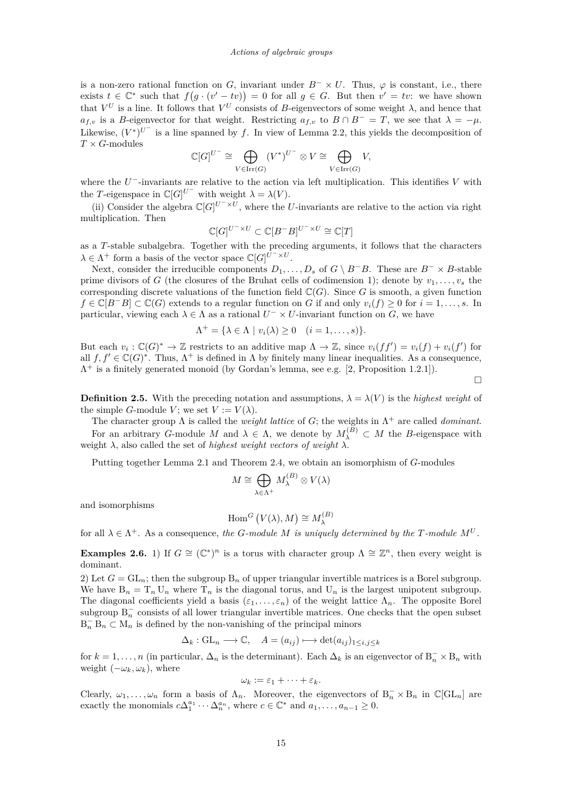<span id="page-15-0"></span>is a non-zero rational function on *G*, invariant under  $B^{-} \times U$ . Thus,  $\varphi$  is constant, i.e., there exists  $t \in \mathbb{C}^*$  such that  $f(g \cdot (v' - tv)) = 0$  for all  $g \in G$ . But then  $v' = tv$ : we have shown that  $V^U$  is a line. It follows that  $V^U$  consists of *B*-eigenvectors of some weight  $\lambda$ , and hence that  $a_{f,v}$  is a *B*-eigenvector for that weight. Restricting  $a_{f,v}$  to  $B \cap B^- = T$ , we see that  $\lambda = -\mu$ . Likewise,  $(V^*)^{U^-}$  is a line spanned by f. In view of Lemma [2.2,](#page-13-0) this yields the decomposition of *T* × *G*-modules

$$
\mathbb{C}[G]^{U^-} \cong \bigoplus_{V \in \operatorname{Irr}(G)} (V^*)^{U^-} \otimes V \cong \bigoplus_{V \in \operatorname{Irr}(G)} V,
$$

where the *U* <sup>−</sup>-invariants are relative to the action via left multiplication. This identifies *V* with the *T*-eigenspace in  $\mathbb{C}[G]^{U^{-}}$  with weight  $\lambda = \lambda(V)$ .

(ii) Consider the algebra  $\mathbb{C}[G]^{U^{-}\times U}$ , where the *U*-invariants are relative to the action via right multiplication. Then

$$
\mathbb{C}[G]^{U^-\times U}\subset \mathbb{C}[B^-B]^{U^-\times U}\cong \mathbb{C}[T]
$$

as a *T*-stable subalgebra. Together with the preceding arguments, it follows that the characters  $\lambda \in \Lambda^+$  form a basis of the vector space  $\mathbb{C}[G]^{U^{-} \times U}$ .

Next, consider the irreducible components  $D_1, \ldots, D_s$  of  $G \setminus B^-B$ . These are  $B^- \times B$ -stable prime divisors of *G* (the closures of the Bruhat cells of codimension 1); denote by  $v_1, \ldots, v_s$  the corresponding discrete valuations of the function field  $\mathbb{C}(G)$ . Since *G* is smooth, a given function *f* ∈  $\mathbb{C}[B^{-}B] \subset \mathbb{C}(G)$  extends to a regular function on *G* if and only  $v_i(f) \geq 0$  for  $i = 1, \ldots, s$ . In particular, viewing each  $\lambda \in \Lambda$  as a rational  $U^{-} \times U$ -invariant function on *G*, we have

$$
\Lambda^+ = \{ \lambda \in \Lambda \mid v_i(\lambda) \ge 0 \quad (i = 1, \ldots, s) \}.
$$

Λ

But each  $v_i$ :  $\mathbb{C}(G)^* \to \mathbb{Z}$  restricts to an additive map  $\Lambda \to \mathbb{Z}$ , since  $v_i(ff') = v_i(f) + v_i(f')$  for all  $f, f' \in \mathbb{C}(G)^*$ . Thus,  $\Lambda^+$  is defined in  $\Lambda$  by finitely many linear inequalities. As a consequence,  $\Lambda^+$  is a finitely generated monoid (by Gordan's lemma, see e.g. [\[2,](#page-22-0) Proposition 1.2.1]).

 $\Box$ 

**Definition 2.5.** With the preceding notation and assumptions,  $\lambda = \lambda(V)$  is the *highest weight* of the simple *G*-module *V*; we set  $V := V(\lambda)$ .

The character group  $\Lambda$  is called the *weight lattice* of *G*; the weights in  $\Lambda^+$  are called *dominant*. For an arbitrary *G*-module *M* and  $\lambda \in \Lambda$ , we denote by  $M_{\lambda}^{(B)} \subset M$  the *B*-eigenspace with weight  $\lambda$ , also called the set of *highest weight vectors of weight*  $\lambda$ .

Putting together Lemma [2.1](#page-13-0) and Theorem [2.4,](#page-14-0) we obtain an isomorphism of *G*-modules

$$
M \cong \bigoplus_{\lambda \in \Lambda^+} M_{\lambda}^{(B)} \otimes V(\lambda)
$$

and isomorphisms

$$
\operatorname{Hom}^G (V(\lambda), M) \cong M_{\lambda}^{(B)}
$$

for all  $\lambda \in \Lambda^+$ . As a consequence, the *G-module M* is uniquely determined by the *T-module*  $M^U$ *.* 

**Examples 2.6.** 1) If  $G \cong (\mathbb{C}^*)^n$  is a torus with character group  $\Lambda \cong \mathbb{Z}^n$ , then every weight is dominant.

2) Let  $G = GL_n$ ; then the subgroup  $B_n$  of upper triangular invertible matrices is a Borel subgroup. We have  $B_n = T_n U_n$  where  $T_n$  is the diagonal torus, and  $U_n$  is the largest unipotent subgroup. The diagonal coefficients yield a basis  $(\varepsilon_1, \ldots, \varepsilon_n)$  of the weight lattice  $\Lambda_n$ . The opposite Borel subgroup  $B_n^-$  consists of all lower triangular invertible matrices. One checks that the open subset  $B_n^- B_n \subset M_n$  is defined by the non-vanishing of the principal minors

$$
\Delta_k: GL_n \longrightarrow \mathbb{C}, \quad A = (a_{ij}) \longmapsto \det(a_{ij})_{1 \le i,j \le k}
$$

for  $k = 1, \ldots, n$  (in particular,  $\Delta_n$  is the determinant). Each  $\Delta_k$  is an eigenvector of  $B_n^- \times B_n$  with weight  $(-\omega_k, \omega_k)$ , where

$$
\omega_k := \varepsilon_1 + \cdots + \varepsilon_k.
$$

Clearly,  $\omega_1, \ldots, \omega_n$  form a basis of  $\Lambda_n$ . Moreover, the eigenvectors of  $B_n^- \times B_n$  in  $\mathbb{C}[GL_n]$  are exactly the monomials  $c\Delta_1^{a_1}\cdots\Delta_n^{a_n}$ , where  $c \in \mathbb{C}^*$  and  $a_1, \ldots, a_{n-1} \geq 0$ .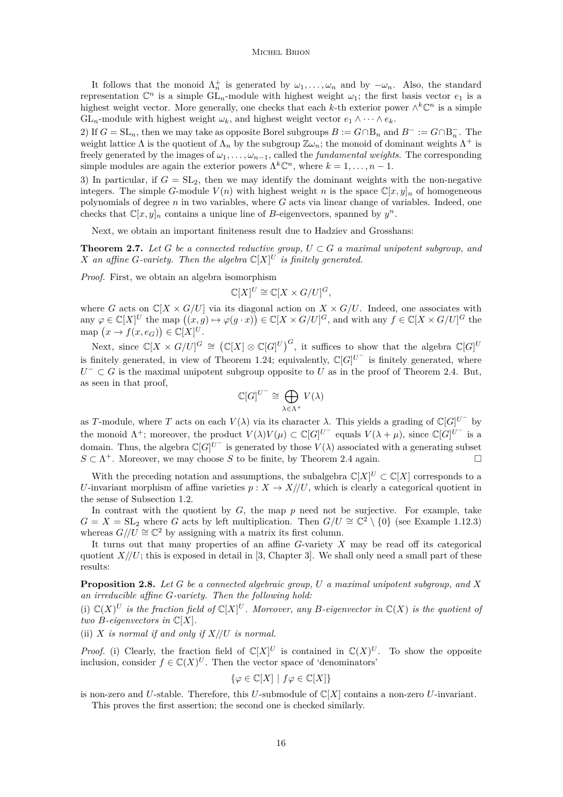<span id="page-16-0"></span>It follows that the monoid  $\Lambda_n^+$  is generated by  $\omega_1, \ldots, \omega_n$  and by  $-\omega_n$ . Also, the standard representation  $\mathbb{C}^n$  is a simple  $GL_n$ -module with highest weight  $\omega_1$ ; the first basis vector  $e_1$  is a highest weight vector. More generally, one checks that each *k*-th exterior power  $\wedge^k \mathbb{C}^n$  is a simple GL<sub>n</sub>-module with highest weight  $\omega_k$ , and highest weight vector  $e_1 \wedge \cdots \wedge e_k$ .

2) If  $G = SL_n$ , then we may take as opposite Borel subgroups  $B := G \cap B_n$  and  $B^- := G \cap B_n^-$ . The weight lattice  $\Lambda$  is the quotient of  $\Lambda_n$  by the subgroup  $\mathbb{Z}\omega_n$ ; the monoid of dominant weights  $\Lambda^+$  is freely generated by the images of  $\omega_1, \ldots, \omega_{n-1}$ , called the *fundamental weights*. The corresponding simple modules are again the exterior powers  $\Lambda^k \mathbb{C}^n$ , where  $k = 1, \ldots, n-1$ .

3) In particular, if  $G = SL_2$ , then we may identify the dominant weights with the non-negative integers. The simple *G*-module  $V(n)$  with highest weight *n* is the space  $\mathbb{C}[x,y]_n$  of homogeneous polynomials of degree *n* in two variables, where *G* acts via linear change of variables. Indeed, one checks that  $\mathbb{C}[x,y]_n$  contains a unique line of *B*-eigenvectors, spanned by  $y^n$ .

Next, we obtain an important finiteness result due to Hadziev and Grosshans:

**Theorem 2.7.** Let  $G$  be a connected reductive group,  $U \subset G$  a maximal unipotent subgroup, and *X* an affine *G*-variety. Then the algebra  $\mathbb{C}[X]^U$  is finitely generated.

*Proof.* First, we obtain an algebra isomorphism

$$
\mathbb{C}[X]^U \cong \mathbb{C}[X \times G/U]^G,
$$

where *G* acts on  $\mathbb{C}[X \times G/U]$  via its diagonal action on  $X \times G/U$ . Indeed, one associates with any  $\varphi \in \mathbb{C}[X]^U$  the map  $((x, g) \mapsto \varphi(g \cdot x)) \in \mathbb{C}[X \times G/U]^G$ , and with any  $f \in \mathbb{C}[X \times G/U]^G$  the  $\text{map}(x \to f(x, e_G)) \in \mathbb{C}[X]^U.$ 

Next, since  $\mathbb{C}[X \times G/U]^G \cong (\mathbb{C}[X] \otimes \mathbb{C}[G]^U)^G$ , it suffices to show that the algebra  $\mathbb{C}[G]^U$ is finitely generated, in view of Theorem [1.24;](#page-8-0) equivalently,  $\mathbb{C}[G]^{U^{-}}$  is finitely generated, where  $U^{-} \subset G$  is the maximal unipotent subgroup opposite to *U* as in the proof of Theorem [2.4.](#page-14-0) But, as seen in that proof,

$$
\mathbb{C}[G]^{U^-} \cong \bigoplus_{\lambda \in \Lambda^+} V(\lambda)
$$

as *T*-module, where *T* acts on each  $V(\lambda)$  via its character  $\lambda$ . This yields a grading of  $\mathbb{C}[G]^{U^{-}}$  by the monoid  $\Lambda^+$ ; moreover, the product  $V(\lambda)V(\mu) \subset \mathbb{C}[G]^{U^-}$  equals  $V(\lambda + \mu)$ , since  $\mathbb{C}[G]^{U^-}$  is a domain. Thus, the algebra  $\mathbb{C}[G]^{U^{-}}$  is generated by those  $V(\lambda)$  associated with a generating subset  $S \subset \Lambda^+$ . Moreover, we may choose *S* to be finite, by Theorem [2.4](#page-14-0) again.

With the preceding notation and assumptions, the subalgebra  $\mathbb{C}[X]^U \subset \mathbb{C}[X]$  corresponds to a *U*-invariant morphism of affine varieties  $p: X \to X/\!/ U$ , which is clearly a categorical quotient in the sense of Subsection [1.2.](#page-7-0)

In contrast with the quotient by *G*, the map *p* need not be surjective. For example, take  $G = X = SL_2$  where *G* acts by left multiplication. Then  $G/U \cong \mathbb{C}^2 \setminus \{0\}$  (see Example [1.12.](#page-5-0)3) whereas  $G/\sqrt{U} \cong \mathbb{C}^2$  by assigning with a matrix its first column.

It turns out that many properties of an affine *G*-variety *X* may be read off its categorical quotient  $X/\sqrt{U}$ ; this is exposed in detail in [\[3,](#page-22-0) Chapter 3]. We shall only need a small part of these results:

**Proposition 2.8.** *Let G be a connected algebraic group, U a maximal unipotent subgroup, and X an irreducible affine G-variety. Then the following hold:*

(i)  $\mathbb{C}(X)^U$  *is the fraction field of*  $\mathbb{C}[X]^U$ *. Moreover, any B*-eigenvector in  $\mathbb{C}(X)$  *is the quotient of two B-eigenvectors in*  $\mathbb{C}[X]$ *.* 

(ii) *X is normal if and only if X//U is normal.*

*Proof.* (i) Clearly, the fraction field of  $\mathbb{C}[X]^U$  is contained in  $\mathbb{C}(X)^U$ . To show the opposite inclusion, consider  $f \in \mathbb{C}(X)^U$ . Then the vector space of 'denominators'

$$
\{\varphi\in\mathbb{C}[X]\ |\ f\varphi\in\mathbb{C}[X]\}
$$

is non-zero and *U*-stable. Therefore, this *U*-submodule of C[*X*] contains a non-zero *U*-invariant.

This proves the first assertion; the second one is checked similarly.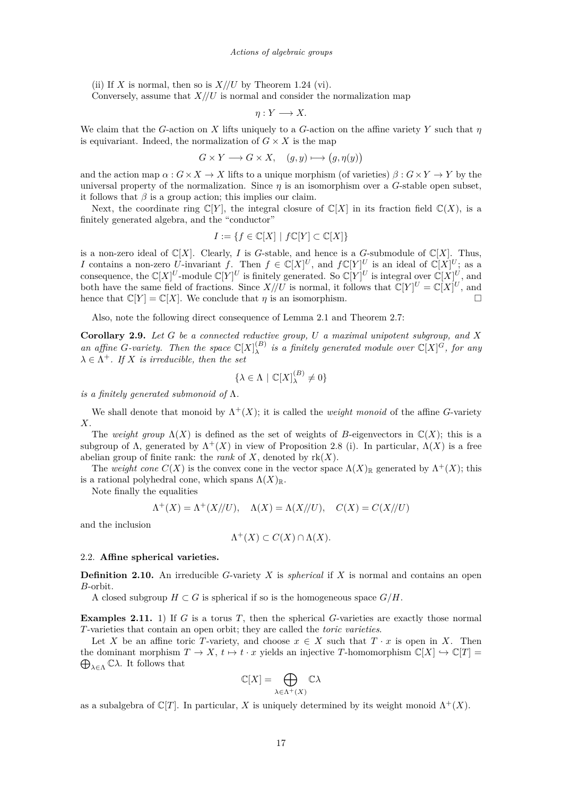<span id="page-17-0"></span>(ii) If *X* is normal, then so is  $X//U$  by Theorem [1.24](#page-8-0) (vi).

Conversely, assume that  $X/\sqrt{U}$  is normal and consider the normalization map

$$
\eta: Y \longrightarrow X.
$$

We claim that the *G*-action on *X* lifts uniquely to a *G*-action on the affine variety *Y* such that *η* is equivariant. Indeed, the normalization of  $G \times X$  is the map

$$
G \times Y \longrightarrow G \times X, \quad (g, y) \longmapsto (g, \eta(y))
$$

and the action map  $\alpha$  :  $G \times X \to X$  lifts to a unique morphism (of varieties)  $\beta$  :  $G \times Y \to Y$  by the universal property of the normalization. Since  $\eta$  is an isomorphism over a *G*-stable open subset, it follows that  $\beta$  is a group action; this implies our claim.

Next, the coordinate ring  $\mathbb{C}[Y]$ , the integral closure of  $\mathbb{C}[X]$  in its fraction field  $\mathbb{C}(X)$ , is a finitely generated algebra, and the "conductor"

$$
I := \{ f \in \mathbb{C}[X] \mid f\mathbb{C}[Y] \subset \mathbb{C}[X] \}
$$

is a non-zero ideal of  $\mathbb{C}[X]$ . Clearly, *I* is *G*-stable, and hence is a *G*-submodule of  $\mathbb{C}[X]$ . Thus, *I* contains a non-zero *U*-invariant *f*. Then  $f \in \mathbb{C}[X]^U$ , and  $f\mathbb{C}[Y]^U$  is an ideal of  $\mathbb{C}[X]^U$ ; as a consequence, the  $\mathbb{C}[X]^U$ -module  $\mathbb{C}[Y]^U$  is finitely generated. So  $\mathbb{C}[Y]^U$  is integral over  $\mathbb{C}[X]^U$ , and both have the same field of fractions. Since  $X//U$  is normal, it follows that  $\mathbb{C}[Y]^U = \mathbb{C}[X]^U$ , and hence that  $\mathbb{C}[Y] = \mathbb{C}[X]$ . We conclude that *η* is an isomorphism.

Also, note the following direct consequence of Lemma [2.1](#page-13-0) and Theorem [2.7:](#page-16-0)

**Corollary 2.9.** *Let G be a connected reductive group, U a maximal unipotent subgroup, and X an affine G-variety.* Then the space  $\mathbb{C}[X]_1^{(B)}$  $\chi^{(B)}$  *is a finitely generated module over*  $\mathbb{C}[X]^G$ *, for any*  $\lambda \in \Lambda^+$ *. If X is irreducible, then the set* 

$$
\{\lambda \in \Lambda \mid \mathbb{C}[X]_{\lambda}^{(B)} \neq 0\}
$$

*is a finitely generated submonoid of* Λ*.*

We shall denote that monoid by  $\Lambda^+(X)$ ; it is called the *weight monoid* of the affine *G*-variety *X*.

The *weight group*  $\Lambda(X)$  is defined as the set of weights of *B*-eigenvectors in  $\mathbb{C}(X)$ ; this is a subgroup of  $\Lambda$ , generated by  $\Lambda^+(X)$  in view of Proposition [2.8](#page-16-0) (i). In particular,  $\Lambda(X)$  is a free abelian group of finite rank: the *rank* of  $X$ , denoted by  $rk(X)$ .

The *weight cone*  $C(X)$  is the convex cone in the vector space  $\Lambda(X)_{\mathbb{R}}$  generated by  $\Lambda^+(X)$ ; this is a rational polyhedral cone, which spans  $\Lambda(X)_{\mathbb{R}}$ .

Note finally the equalities

$$
\Lambda^{+}(X) = \Lambda^{+}(X//U), \quad \Lambda(X) = \Lambda(X//U), \quad C(X) = C(X//U)
$$

and the inclusion

$$
\Lambda^+(X) \subset C(X) \cap \Lambda(X).
$$

### 2.2. **Affine spherical varieties.**

Λ

**Definition 2.10.** An irreducible *G*-variety *X* is *spherical* if *X* is normal and contains an open *B*-orbit.

A closed subgroup  $H \subset G$  is spherical if so is the homogeneous space  $G/H$ .

**Examples 2.11.** 1) If *G* is a torus *T*, then the spherical *G*-varieties are exactly those normal *T*-varieties that contain an open orbit; they are called the *toric varieties*.

Let *X* be an affine toric *T*-variety, and choose  $x \in X$  such that  $T \cdot x$  is open in *X*. Then the dominant morphism  $T \to X$ ,  $t \mapsto t \cdot x$  yields an injective *T*-homomorphism  $\mathbb{C}[X] \hookrightarrow \mathbb{C}[T] =$  $\bigoplus_{\lambda \in Λ}$  *Σ* $\lambda$ . It follows that

$$
\mathbb{C}[X] = \bigoplus_{\lambda \in \Lambda^+(X)} \mathbb{C}\lambda
$$

as a subalgebra of  $\mathbb{C}[T]$ . In particular, *X* is uniquely determined by its weight monoid  $\Lambda^+(X)$ .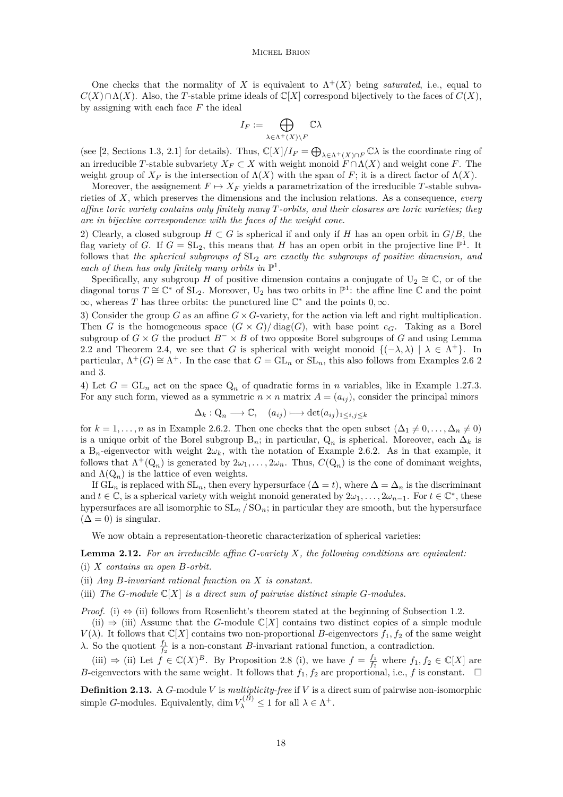<span id="page-18-0"></span>One checks that the normality of *X* is equivalent to  $\Lambda^{+}(X)$  being *saturated*, i.e., equal to  $C(X) \cap \Lambda(X)$ . Also, the *T*-stable prime ideals of  $\mathbb{C}[X]$  correspond bijectively to the faces of  $C(X)$ , by assigning with each face *F* the ideal

$$
I_F:=\bigoplus_{\lambda\in\Lambda^+(X)\backslash F}\mathbb{C}\lambda
$$

(see [\[2,](#page-22-0) Sections 1.3, 2.1] for details). Thus,  $\mathbb{C}[X]/I_F = \bigoplus_{\lambda \in \Lambda^+(X) \cap F} \mathbb{C}\lambda$  is the coordinate ring of an irreducible *T*-stable subvariety  $X_F \subset X$  with weight monoid  $F \cap \Lambda(X)$  and weight cone *F*. The weight group of  $X_F$  is the intersection of  $\Lambda(X)$  with the span of F; it is a direct factor of  $\Lambda(X)$ .

Moreover, the assignement  $F \mapsto X_F$  yields a parametrization of the irreducible *T*-stable subvarieties of *X*, which preserves the dimensions and the inclusion relations. As a consequence, *every affine toric variety contains only finitely many T-orbits, and their closures are toric varieties; they are in bijective correspondence with the faces of the weight cone*.

2) Clearly, a closed subgroup  $H \subset G$  is spherical if and only if *H* has an open orbit in  $G/B$ , the flag variety of *G*. If  $G = SL_2$ , this means that *H* has an open orbit in the projective line  $\mathbb{P}^1$ . It follows that *the spherical subgroups of*  $SL<sub>2</sub>$  *are exactly the subgroups of positive dimension, and* each of them has only finitely many orbits in  $\mathbb{P}^1$ .

Specifically, any subgroup *H* of positive dimension contains a conjugate of  $U_2 \cong \mathbb{C}$ , or of the diagonal torus  $T \cong \mathbb{C}^*$  of  $SL_2$ . Moreover, U<sub>2</sub> has two orbits in  $\mathbb{P}^1$ : the affine line  $\mathbb C$  and the point  $\infty$ , whereas *T* has three orbits: the punctured line  $\mathbb{C}^*$  and the points  $0, \infty$ .

3) Consider the group *G* as an affine  $G \times G$ -variety, for the action via left and right multiplication. Then *G* is the homogeneous space  $(G \times G)/\text{diag}(G)$ , with base point  $e_G$ . Taking as a Borel subgroup of  $G \times G$  the product  $B^{-} \times B$  of two opposite Borel subgroups of  $G$  and using Lemma [2.2](#page-13-0) and Theorem [2.4,](#page-14-0) we see that *G* is spherical with weight monoid  $\{(-\lambda, \lambda) | \lambda \in \Lambda^+\}$ . In particular,  $\Lambda^+(G) \cong \Lambda^+$ . In the case that  $G = GL_n$  or  $SL_n$ , this also follows from Examples [2.6](#page-15-0) 2 and 3.

4) Let  $G = GL_n$  act on the space  $Q_n$  of quadratic forms in *n* variables, like in Example [1.27.](#page-10-0)3. For any such form, viewed as a symmetric  $n \times n$  matrix  $A = (a_{ij})$ , consider the principal minors

$$
\Delta_k: Q_n \longrightarrow \mathbb{C}, \quad (a_{ij}) \longmapsto \det(a_{ij})_{1 \le i,j \le k}
$$

for  $k = 1, \ldots, n$  as in Example [2.6.](#page-15-0)2. Then one checks that the open subset  $(\Delta_1 \neq 0, \ldots, \Delta_n \neq 0)$ is a unique orbit of the Borel subgroup  $B_n$ ; in particular,  $Q_n$  is spherical. Moreover, each  $\Delta_k$  is a B<sub>n</sub>-eigenvector with weight  $2\omega_k$ , with the notation of Example [2.6.](#page-15-0)2. As in that example, it follows that  $\Lambda^+(Q_n)$  is generated by  $2\omega_1, \ldots, 2\omega_n$ . Thus,  $C(Q_n)$  is the cone of dominant weights, and  $\Lambda(Q_n)$  is the lattice of even weights.

If  $GL_n$  is replaced with  $SL_n$ , then every hypersurface ( $\Delta = t$ ), where  $\Delta = \Delta_n$  is the discriminant and  $t \in \mathbb{C}$ , is a spherical variety with weight monoid generated by  $2\omega_1, \ldots, 2\omega_{n-1}$ . For  $t \in \mathbb{C}^*$ , these hypersurfaces are all isomorphic to  $SL_n / SO_n$ ; in particular they are smooth, but the hypersurface  $(\Delta = 0)$  is singular.

We now obtain a representation-theoretic characterization of spherical varieties:

**Lemma 2.12.** *For an irreducible affine G-variety X, the following conditions are equivalent:*

- (i) *X contains an open B-orbit.*
- (ii) *Any B-invariant rational function on X is constant.*
- (iii) *The G*-module  $\mathbb{C}[X]$  *is a direct sum of pairwise distinct simple G*-modules.

*Proof.* (i)  $\Leftrightarrow$  (ii) follows from Rosenlicht's theorem stated at the beginning of Subsection [1.2.](#page-7-0)

(ii)  $\Rightarrow$  (iii) Assume that the *G*-module  $\mathbb{C}[X]$  contains two distinct copies of a simple module *V*( $\lambda$ ). It follows that  $\mathbb{C}[X]$  contains two non-proportional *B*-eigenvectors  $f_1, f_2$  of the same weight *λ*. So the quotient  $\frac{f_1}{f_2}$  is a non-constant *B*-invariant rational function, a contradiction.

(iii)  $\Rightarrow$  (ii) Let  $f \in \mathbb{C}(X)^B$ . By Proposition [2.8](#page-16-0) (i), we have  $f = \frac{f_1}{f_2}$  where  $f_1, f_2 \in \mathbb{C}[X]$  are *B*-eigenvectors with the same weight. It follows that  $f_1, f_2$  are proportional, i.e., *f* is constant.  $\Box$ 

**Definition 2.13.** A *G*-module *V* is *multiplicity-free* if *V* is a direct sum of pairwise non-isomorphic simple *G*-modules. Equivalently, dim  $V_{\lambda}^{(B)} \leq 1$  for all  $\lambda \in \Lambda^+$ .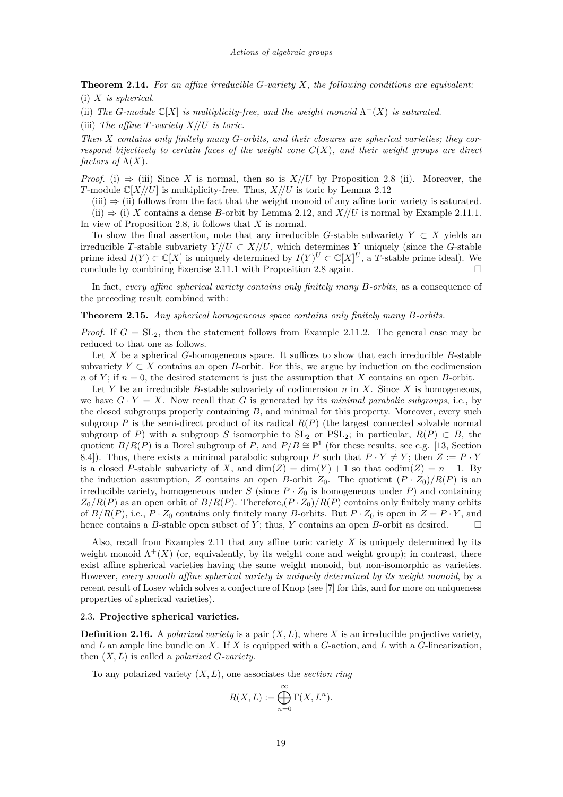<span id="page-19-0"></span>**Theorem 2.14.** *For an affine irreducible G-variety X, the following conditions are equivalent:* (i) *X is spherical.*

(ii) *The G*-module  $\mathbb{C}[X]$  *is multiplicity-free, and the weight monoid*  $\Lambda^+(X)$  *is saturated.* 

(iii) *The affine T-variety X//U is toric.*

*Then X contains only finitely many G-orbits, and their closures are spherical varieties; they correspond bijectively to certain faces of the weight cone*  $C(X)$ *, and their weight groups are direct factors of*  $\Lambda(X)$ *.* 

*Proof.* (i)  $\Rightarrow$  (iii) Since *X* is normal, then so is *X*//*U* by Proposition [2.8](#page-16-0) (ii). Moreover, the *T*-module  $\mathbb{C}[X//U]$  is multiplicity-free. Thus,  $X//U$  is toric by Lemma [2.12](#page-18-0)

 $(iii) \Rightarrow (ii)$  follows from the fact that the weight monoid of any affine toric variety is saturated.

(ii)  $\Rightarrow$  (i) *X* contains a dense *B*-orbit by Lemma [2.12,](#page-18-0) and *X*//*U* is normal by Example [2.11.](#page-17-0)1. In view of Proposition [2.8,](#page-16-0) it follows that *X* is normal.

To show the final assertion, note that any irreducible *G*-stable subvariety  $Y \subset X$  yields an irreducible *T*-stable subvariety  $Y//U \subset X//U$ , which determines *Y* uniquely (since the *G*-stable prime ideal  $I(Y) \subset \mathbb{C}[X]$  is uniquely determined by  $I(Y)^U \subset \mathbb{C}[X]^U$ , a *T*-stable prime ideal). We conclude by combining Exercise [2.11.](#page-17-0)1 with Proposition [2.8](#page-16-0) again.  $\square$ 

In fact, *every affine spherical variety contains only finitely many B-orbits*, as a consequence of the preceding result combined with:

## **Theorem 2.15.** *Any spherical homogeneous space contains only finitely many B-orbits.*

*Proof.* If  $G = SL_2$ , then the statement follows from Example [2.11.](#page-17-0)2. The general case may be reduced to that one as follows.

Let *X* be a spherical *G*-homogeneous space. It suffices to show that each irreducible *B*-stable subvariety  $Y \subset X$  contains an open *B*-orbit. For this, we argue by induction on the codimension *n* of *Y*; if  $n = 0$ , the desired statement is just the assumption that *X* contains an open *B*-orbit.

Let *Y* be an irreducible *B*-stable subvariety of codimension *n* in *X*. Since *X* is homogeneous, we have  $G \cdot Y = X$ . Now recall that G is generated by its *minimal parabolic subgroups*, i.e., by the closed subgroups properly containing *B*, and minimal for this property. Moreover, every such subgroup  $P$  is the semi-direct product of its radical  $R(P)$  (the largest connected solvable normal subgroup of *P*) with a subgroup *S* isomorphic to  $SL_2$  or  $PSL_2$ ; in particular,  $R(P) \subset B$ , the quotient  $B/R(P)$  is a Borel subgroup of *P*, and  $P/B \cong \mathbb{P}^1$  (for these results, see e.g. [\[13,](#page-22-0) Section 8.4]). Thus, there exists a minimal parabolic subgroup *P* such that  $P \cdot Y \neq Y$ ; then  $Z := P \cdot Y$ is a closed *P*-stable subvariety of *X*, and  $\dim(Z) = \dim(Y) + 1$  so that  $\text{codim}(Z) = n - 1$ . By the induction assumption, *Z* contains an open *B*-orbit  $Z_0$ . The quotient  $(P \cdot Z_0)/R(P)$  is an irreducible variety, homogeneous under  $S$  (since  $P \cdot Z_0$  is homogeneous under  $P$ ) and containing  $Z_0/R(P)$  as an open orbit of  $B/R(P)$ . Therefore, $(P \cdot Z_0)/R(P)$  contains only finitely many orbits of  $B/R(P)$ , i.e.,  $P \cdot Z_0$  contains only finitely many *B*-orbits. But  $P \cdot Z_0$  is open in  $Z = P \cdot Y$ , and hence contains a *B*-stable open subset of *Y*; thus, *Y* contains an open *B*-orbit as desired.  $\square$ 

Also, recall from Examples [2.11](#page-17-0) that any affine toric variety *X* is uniquely determined by its weight monoid  $\Lambda^+(X)$  (or, equivalently, by its weight cone and weight group); in contrast, there exist affine spherical varieties having the same weight monoid, but non-isomorphic as varieties. However, *every smooth affine spherical variety is uniquely determined by its weight monoid*, by a recent result of Losev which solves a conjecture of Knop (see [\[7\]](#page-22-0) for this, and for more on uniqueness properties of spherical varieties).

# 2.3. **Projective spherical varieties.**

**Definition 2.16.** A *polarized variety* is a pair  $(X, L)$ , where *X* is an irreducible projective variety, and *L* an ample line bundle on *X*. If *X* is equipped with a *G*-action, and *L* with a *G*-linearization, then (*X, L*) is called a *polarized G-variety*.

To any polarized variety (*X, L*), one associates the *section ring*

$$
R(X, L) := \bigoplus_{n=0}^{\infty} \Gamma(X, L^n).
$$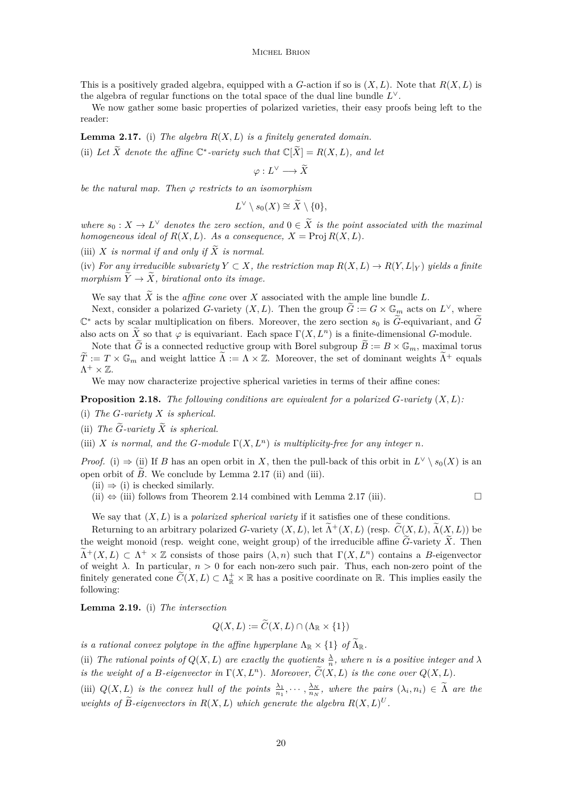<span id="page-20-0"></span>This is a positively graded algebra, equipped with a *G*-action if so is  $(X, L)$ . Note that  $R(X, L)$  is the algebra of regular functions on the total space of the dual line bundle *L* ∨.

We now gather some basic properties of polarized varieties, their easy proofs being left to the reader:

**Lemma 2.17.** (i) *The algebra*  $R(X, L)$  *is a finitely generated domain.* (ii) Let  $\widetilde{X}$  denote the affine  $\mathbb{C}^*$ -variety such that  $\mathbb{C}[\widetilde{X}] = R(X, L)$ , and let

$$
\varphi:L^{\vee}\longrightarrow\widetilde{X}
$$

*be the natural map. Then ϕ restricts to an isomorphism*

$$
L^{\vee} \setminus s_0(X) \cong \widetilde{X} \setminus \{0\},\
$$

*where*  $s_0: X \to L^{\vee}$  *denotes the zero section, and*  $0 \in \tilde{X}$  *is the point associated with the maximal homogeneous ideal of*  $R(X, L)$ *. As a consequence,*  $X = \text{Proj } R(X, L)$ *.* 

(iii) *X is normal if and only if*  $\widetilde{X}$  *is normal.* 

(iv) *For any irreducible subvariety*  $Y \subset X$ *, the restriction map*  $R(X, L) \to R(Y, L|_Y)$  *yields a finite morphism*  $\widetilde{Y} \rightarrow \widetilde{X}$ *, birational onto its image.* 

We say that  $\widetilde{X}$  is the *affine cone* over X associated with the ample line bundle L.

Next, consider a polarized *G*-variety  $(X, L)$ . Then the group  $\widetilde{G} := G \times \mathbb{G}_m$  acts on  $L^{\vee}$ , where  $\mathbb{C}^*$  acts by scalar multiplication on fibers. Moreover, the zero section  $s_0$  is  $\widetilde{G}$ -equivariant, and  $\widetilde{G}$ also acts on  $\widetilde{X}$  so that  $\varphi$  is equivariant. Each space  $\Gamma(X, L^n)$  is a finite-dimensional *G*-module.

Note that  $\tilde{G}$  is a connected reductive group with Borel subgroup  $\tilde{B} := B \times \mathbb{G}_m$ , maximal torus  $\widetilde{T} := T \times \mathbb{G}_m$  and weight lattice  $\widetilde{\Lambda} := \Lambda \times \mathbb{Z}$ . Moreover, the set of dominant weights  $\widetilde{\Lambda}^+$  equals  $\Lambda^+\times\mathbb{Z}$ .

We may now characterize projective spherical varieties in terms of their affine cones:

**Proposition 2.18.** *The following conditions are equivalent for a polarized G-variety* (*X, L*)*:*

- (i) *The G-variety X is spherical.*
- (ii) The  $\widetilde{G}$ -variety  $\widetilde{X}$  *is spherical.*
- (iii) *X is normal, and the G-module*  $\Gamma(X, L^n)$  *is multiplicity-free for any integer n*.

*Proof.* (i)  $\Rightarrow$  (ii) If *B* has an open orbit in *X*, then the pull-back of this orbit in  $L^{\vee} \setminus s_0(X)$  is an open orbit of  $\tilde{B}$ . We conclude by Lemma 2.17 (ii) and (iii).

 $(ii) \Rightarrow (i)$  is checked similarly.

 $(iii) \Leftrightarrow (iii)$  follows from Theorem [2.14](#page-19-0) combined with Lemma 2.17 (iii).

We say that (*X, L*) is a *polarized spherical variety* if it satisfies one of these conditions.

Returning to an arbitrary polarized *G*-variety  $(X, L)$ , let  $\Lambda^+(X, L)$  (resp.  $\widetilde{C}(X, L)$ ,  $\Lambda(X, L)$ ) be the weight monoid (resp. weight cone, weight group) of the irreducible affine  $\widetilde{G}$ -variety  $\widetilde{X}$ . Then  $\widetilde{\Lambda}^+(X,L) \subset \Lambda^+ \times \mathbb{Z}$  consists of those pairs  $(\lambda,n)$  such that  $\Gamma(X,L^n)$  contains a *B*-eigenvector of weight  $\lambda$ . In particular,  $n > 0$  for each non-zero such pair. Thus, each non-zero point of the finitely generated cone  $\widetilde{C}(X,L) \subset \Lambda_{\mathbb{R}}^+ \times \mathbb{R}$  has a positive coordinate on  $\mathbb{R}$ . This implies easily the following:

**Lemma 2.19.** (i) *The intersection*

$$
Q(X, L) := C(X, L) \cap (\Lambda_{\mathbb{R}} \times \{1\})
$$

*is a rational convex polytope in the affine hyperplane*  $\Lambda_{\mathbb{R}} \times \{1\}$  *of*  $\Lambda_{\mathbb{R}}$ *.* 

(ii) The rational points of  $Q(X, L)$  are exactly the quotients  $\frac{\lambda}{n}$ , where *n* is a positive integer and  $\lambda$ *is the weight of a B-eigenvector in*  $\Gamma(X, L^n)$ *. Moreover,*  $\widetilde{C}(X, L)$  *is the cone over*  $Q(X, L)$ *.* 

(iii)  $Q(X, L)$  is the convex hull of the points  $\frac{\lambda_1}{n_1}, \cdots, \frac{\lambda_N}{n_N}$ , where the pairs  $(\lambda_i, n_i) \in \Lambda$  are the *weights of*  $\widetilde{B}$ -eigenvectors in  $R(X, L)$  which generate the algebra  $R(X, L)^U$ .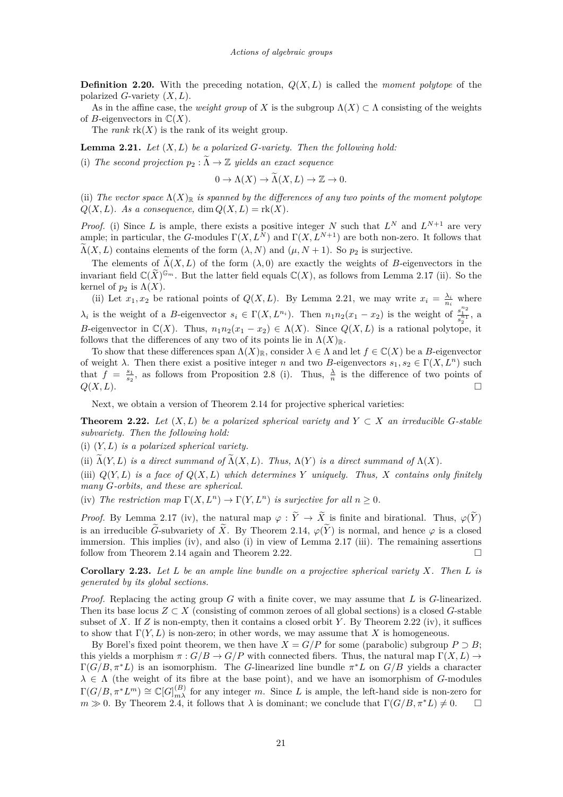<span id="page-21-0"></span>**Definition 2.20.** With the preceding notation,  $Q(X, L)$  is called the *moment polytope* of the polarized *G*-variety (*X, L*).

As in the affine case, the *weight group* of X is the subgroup  $\Lambda(X) \subset \Lambda$  consisting of the weights of *B*-eigenvectors in  $\mathbb{C}(X)$ .

The *rank*  $rk(X)$  is the rank of its weight group.

**Lemma 2.21.** *Let* (*X, L*) *be a polarized G-variety. Then the following hold:*

(i) The second projection  $p_2 : \Lambda \to \mathbb{Z}$  yields an exact sequence

$$
0 \to \Lambda(X) \to \widetilde{\Lambda}(X, L) \to \mathbb{Z} \to 0.
$$

(ii) The vector space  $\Lambda(X)_{\mathbb{R}}$  *is spanned by the differences of any two points of the moment polytope*  $Q(X, L)$ *. As a consequence,* dim  $Q(X, L) = \text{rk}(X)$ *.* 

*Proof.* (i) Since *L* is ample, there exists a positive integer *N* such that  $L^N$  and  $L^{N+1}$  are very ample; in particular, the *G*-modules  $\Gamma(X, L^N)$  and  $\Gamma(X, L^{N+1})$  are both non-zero. It follows that  $\widetilde{\Lambda}(X, L)$  contains elements of the form  $(\lambda, N)$  and  $(\mu, N + 1)$ . So  $p_2$  is surjective.

The elements of  $\Lambda(X, L)$  of the form  $(\lambda, 0)$  are exactly the weights of *B*-eigenvectors in the invariant field  $\mathbb{C}(\widetilde{X})^{\mathbb{G}_m}$ . But the latter field equals  $\mathbb{C}(X)$ , as follows from Lemma [2.17](#page-20-0) (ii). So the kernel of  $p_2$  is  $\Lambda(X)$ .

(ii) Let  $x_1, x_2$  be rational points of  $Q(X, L)$ . By Lemma 2.21, we may write  $x_i = \frac{\lambda_i}{n_i}$  where *λ*<sub>*i*</sub> is the weight of a *B*-eigenvector  $s_i \in \Gamma(X, L^{n_i})$ . Then  $n_1 n_2(x_1 - x_2)$  is the weight of  $\frac{s_1^{n_2}}{s_2^{n_1}}$ , a *B*-eigenvector in  $\mathbb{C}(X)$ . Thus,  $n_1n_2(x_1 - x_2) \in \Lambda(X)$ . Since  $Q(X, L)$  is a rational polytope, it follows that the differences of any two of its points lie in  $\Lambda(X)_{\mathbb{R}}$ .

To show that these differences span  $\Lambda(X)_{\mathbb{R}}$ , consider  $\lambda \in \Lambda$  and let  $f \in \mathbb{C}(X)$  be a *B*-eigenvector of weight  $\lambda$ . Then there exist a positive integer *n* and two *B*-eigenvectors  $s_1, s_2 \in \Gamma(X, L^n)$  such that  $f = \frac{s_1}{s_2}$ , as follows from Proposition [2.8](#page-16-0) (i). Thus,  $\frac{\lambda}{n}$  is the difference of two points of  $Q(X, L)$ .

Next, we obtain a version of Theorem [2.14](#page-19-0) for projective spherical varieties:

**Theorem 2.22.** Let  $(X, L)$  be a polarized spherical variety and  $Y \subset X$  an irreducible *G*-stable *subvariety. Then the following hold:*

(i) (*Y, L*) *is a polarized spherical variety.*

(ii)  $\widetilde{\Lambda}(Y, L)$  *is a direct summand of*  $\widetilde{\Lambda}(X, L)$ *. Thus,*  $\Lambda(Y)$  *is a direct summand of*  $\Lambda(X)$ *.* 

(iii)  $Q(Y, L)$  *is a face of*  $Q(X, L)$  *which determines*  $Y$  *uniquely. Thus,*  $X$  *contains only finitely many G-orbits, and these are spherical.*

(iv) The restriction map  $\Gamma(X, L^n) \to \Gamma(Y, L^n)$  is surjective for all  $n > 0$ .

*Proof.* By Lemma [2.17](#page-20-0) (iv), the natural map  $\varphi : \widetilde{Y} \to \widetilde{X}$  is finite and birational. Thus,  $\varphi(\widetilde{Y})$ is an irreducible  $\tilde{G}$ -subvariety of  $\tilde{X}$ . By Theorem [2.14,](#page-19-0)  $\varphi(\tilde{Y})$  is normal, and hence  $\varphi$  is a closed immersion. This implies (iv), and also (i) in view of Lemma [2.17](#page-20-0) (iii). The remaining assertions follow from Theorem [2.14](#page-19-0) again and Theorem 2.22.

**Corollary 2.23.** *Let L be an ample line bundle on a projective spherical variety X. Then L is generated by its global sections.*

*Proof.* Replacing the acting group *G* with a finite cover, we may assume that *L* is *G*-linearized. Then its base locus  $Z \subset X$  (consisting of common zeroes of all global sections) is a closed G-stable subset of X. If  $Z$  is non-empty, then it contains a closed orbit Y. By Theorem 2.22 (iv), it suffices to show that  $\Gamma(Y, L)$  is non-zero; in other words, we may assume that X is homogeneous.

By Borel's fixed point theorem, we then have  $X = G/P$  for some (parabolic) subgroup  $P \supset B$ ; this yields a morphism  $\pi$ :  $G/B \to G/P$  with connected fibers. Thus, the natural map  $\Gamma(X, L) \to$  $\Gamma(G/B, \pi^*L)$  is an isomorphism. The *G*-linearized line bundle  $\pi^*L$  on  $G/B$  yields a character  $\lambda \in \Lambda$  (the weight of its fibre at the base point), and we have an isomorphism of *G*-modules  $\Gamma(G/B, \pi^* L^m) \cong \mathbb{C}[G]_{m\lambda}^{(B)}$  for any integer *m*. Since *L* is ample, the left-hand side is non-zero for  $m \gg 0$ . By Theorem [2.4,](#page-14-0) it follows that  $\lambda$  is dominant; we conclude that  $\Gamma(G/B, \pi^*L) \neq 0$ .